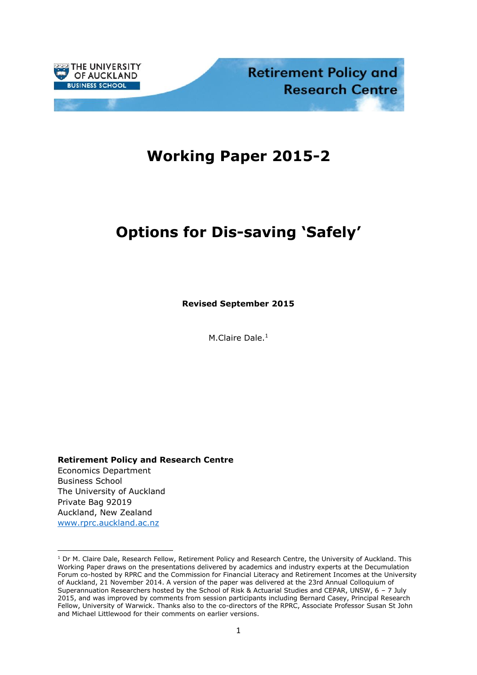

# **Working Paper 2015-2**

# **Options for Dis-saving 'Safely'**

**Revised September 2015**

M.Claire Dale. 1

**Retirement Policy and Research Centre**

Economics Department Business School The University of Auckland Private Bag 92019 Auckland, New Zealand [www.rprc.auckland.ac.nz](http://www.rprc.auckland.ac.nz/)

<sup>&</sup>lt;sup>1</sup> Dr M. Claire Dale, Research Fellow, Retirement Policy and Research Centre, the University of Auckland. This Working Paper draws on the presentations delivered by academics and industry experts at the Decumulation Forum co-hosted by RPRC and the Commission for Financial Literacy and Retirement Incomes at the University of Auckland, 21 November 2014. A version of the paper was delivered at the 23rd Annual Colloquium of Superannuation Researchers hosted by the School of Risk & Actuarial Studies and CEPAR, UNSW, 6 – 7 July 2015, and was improved by comments from session participants including Bernard Casey, Principal Research Fellow, University of Warwick. Thanks also to the co-directors of the RPRC, Associate Professor Susan St John and Michael Littlewood for their comments on earlier versions.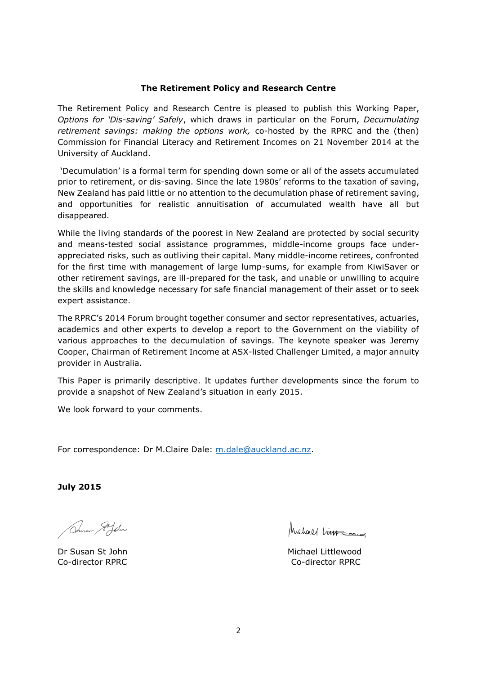#### **The Retirement Policy and Research Centre**

The Retirement Policy and Research Centre is pleased to publish this Working Paper, *Options for 'Dis-saving' Safely*, which draws in particular on the Forum, *Decumulating retirement savings: making the options work,* co-hosted by the RPRC and the (then) Commission for Financial Literacy and Retirement Incomes on 21 November 2014 at the University of Auckland.

'Decumulation' is a formal term for spending down some or all of the assets accumulated prior to retirement, or dis-saving. Since the late 1980s' reforms to the taxation of saving, New Zealand has paid little or no attention to the decumulation phase of retirement saving, and opportunities for realistic annuitisation of accumulated wealth have all but disappeared.

While the living standards of the poorest in New Zealand are protected by social security and means-tested social assistance programmes, middle-income groups face underappreciated risks, such as outliving their capital. Many middle-income retirees, confronted for the first time with management of large lump-sums, for example from KiwiSaver or other retirement savings, are ill-prepared for the task, and unable or unwilling to acquire the skills and knowledge necessary for safe financial management of their asset or to seek expert assistance.

The RPRC's 2014 Forum brought together consumer and sector representatives, actuaries, academics and other experts to develop a report to the Government on the viability of various approaches to the decumulation of savings. The keynote speaker was Jeremy Cooper, Chairman of Retirement Income at ASX-listed Challenger Limited, a major annuity provider in Australia.

This Paper is primarily descriptive. It updates further developments since the forum to provide a snapshot of New Zealand's situation in early 2015.

We look forward to your comments.

For correspondence: Dr M.Claire Dale: [m.dale@auckland.ac.nz.](mailto:m.dale@auckland.ac.nz)

**July 2015**

Anson Sifoln

Michael Limes

Dr Susan St John Michael Littlewood Co-director RPRC Co-director RPRC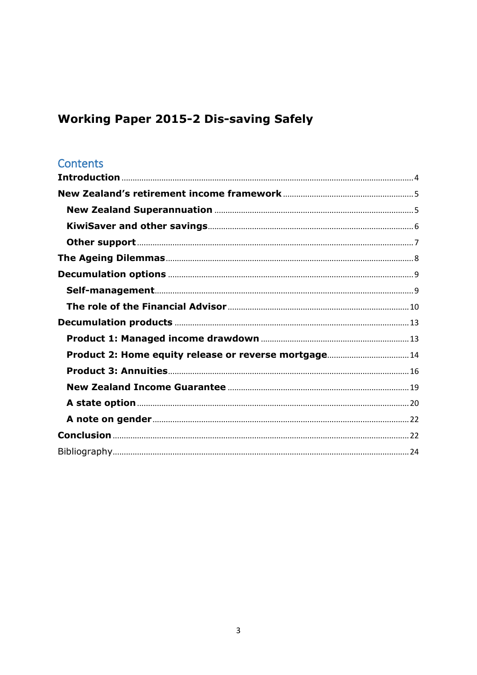# **Working Paper 2015-2 Dis-saving Safely**

### Contents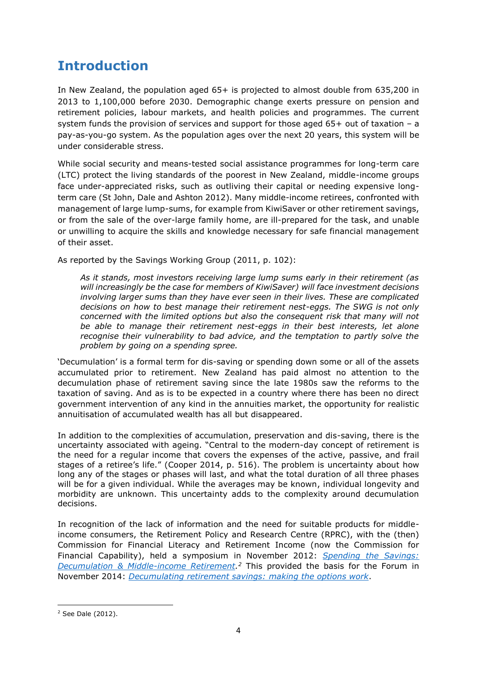## <span id="page-3-0"></span>**Introduction**

In New Zealand, the population aged 65+ is projected to almost double from 635,200 in 2013 to 1,100,000 before 2030. Demographic change exerts pressure on pension and retirement policies, labour markets, and health policies and programmes. The current system funds the provision of services and support for those aged  $65+$  out of taxation – a pay-as-you-go system. As the population ages over the next 20 years, this system will be under considerable stress.

While social security and means-tested social assistance programmes for long-term care (LTC) protect the living standards of the poorest in New Zealand, middle-income groups face under-appreciated risks, such as outliving their capital or needing expensive longterm care [\(St John, Dale and Ashton 2012\)](#page-24-0). Many middle-income retirees, confronted with management of large lump-sums, for example from KiwiSaver or other retirement savings, or from the sale of the over-large family home, are ill-prepared for the task, and unable or unwilling to acquire the skills and knowledge necessary for safe financial management of their asset.

As reported by the Savings Working Group [\(2011, p. 102\)](#page-24-1):

*As it stands, most investors receiving large lump sums early in their retirement (as will increasingly be the case for members of KiwiSaver) will face investment decisions involving larger sums than they have ever seen in their lives. These are complicated decisions on how to best manage their retirement nest-eggs. The SWG is not only concerned with the limited options but also the consequent risk that many will not be able to manage their retirement nest-eggs in their best interests, let alone recognise their vulnerability to bad advice, and the temptation to partly solve the problem by going on a spending spree.*

'Decumulation' is a formal term for dis-saving or spending down some or all of the assets accumulated prior to retirement. New Zealand has paid almost no attention to the decumulation phase of retirement saving since the late 1980s saw the reforms to the taxation of saving. And as is to be expected in a country where there has been no direct government intervention of any kind in the annuities market, the opportunity for realistic annuitisation of accumulated wealth has all but disappeared.

In addition to the complexities of accumulation, preservation and dis-saving, there is the uncertainty associated with ageing. "Central to the modern-day concept of retirement is the need for a regular income that covers the expenses of the active, passive, and frail stages of a retiree's life." [\(Cooper 2014, p. 516\)](#page-23-1). The problem is uncertainty about how long any of the stages or phases will last, and what the total duration of all three phases will be for a given individual. While the averages may be known, individual longevity and morbidity are unknown. This uncertainty adds to the complexity around decumulation decisions.

In recognition of the lack of information and the need for suitable products for middleincome consumers, the Retirement Policy and Research Centre (RPRC), with the (then) Commission for Financial Literacy and Retirement Income (now the Commission for Financial Capability), held a symposium in November 2012: *[Spending the Savings:](http://docs.business.auckland.ac.nz/Doc/2012-Proceedings-Spending-the-Savings-Symposium.pdf)  [Decumulation & Middle-income Retirement.](http://docs.business.auckland.ac.nz/Doc/2012-Proceedings-Spending-the-Savings-Symposium.pdf) <sup>2</sup>* This provided the basis for the Forum in November 2014: *[Decumulating retirement savings: making the options work](http://www.business.auckland.ac.nz/en/about/our-research/bs-research-institutes-and-centres/retirement-policy-and-research-centre-rprc/decumulating-retirement-savings-making-the-options-work/presentations0.html)*.

 $\overline{a}$ 

<sup>2</sup> See Dale [\(2012\)](#page-23-2).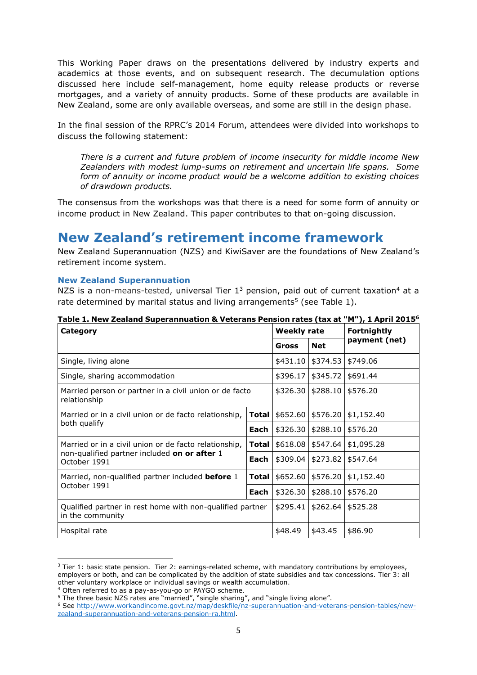This Working Paper draws on the presentations delivered by industry experts and academics at those events, and on subsequent research. The decumulation options discussed here include self-management, home equity release products or reverse mortgages, and a variety of annuity products. Some of these products are available in New Zealand, some are only available overseas, and some are still in the design phase.

In the final session of the RPRC's 2014 Forum, attendees were divided into workshops to discuss the following statement:

*There is a current and future problem of income insecurity for middle income New Zealanders with modest lump-sums on retirement and uncertain life spans. Some form of annuity or income product would be a welcome addition to existing choices of drawdown products.*

The consensus from the workshops was that there is a need for some form of annuity or income product in New Zealand. This paper contributes to that on-going discussion.

### <span id="page-4-0"></span>**New Zealand's retirement income framework**

New Zealand Superannuation (NZS) and KiwiSaver are the foundations of New Zealand's retirement income system.

#### <span id="page-4-1"></span>**New Zealand Superannuation**

NZS is a non-means-tested, universal Tier  $1^3$  pension, paid out of current taxation<sup>4</sup> at a rate determined by marital status and living arrangements<sup>5</sup> (see Table 1).

| Category                                                                                                              |       | Weekly rate |                      | <b>Fortnightly</b> |  |
|-----------------------------------------------------------------------------------------------------------------------|-------|-------------|----------------------|--------------------|--|
|                                                                                                                       |       |             | <b>Net</b>           | payment (net)      |  |
| Single, living alone                                                                                                  |       | \$431.10    | \$374.53             | \$749.06           |  |
| Single, sharing accommodation                                                                                         |       |             | \$396.17<br>\$345.72 | \$691.44           |  |
| Married person or partner in a civil union or de facto<br>relationship                                                |       | \$326.30    | \$288.10             | \$576.20           |  |
| Married or in a civil union or de facto relationship,<br>both qualify                                                 | Total | \$652.60    | \$576.20             | \$1,152.40         |  |
|                                                                                                                       | Each  | \$326.30    | \$288.10             | \$576.20           |  |
| Married or in a civil union or de facto relationship,<br>non-qualified partner included on or after 1<br>October 1991 |       |             | $$618.08$   \$547.64 | \$1,095.28         |  |
|                                                                                                                       |       | \$309.04    | \$273.82             | \$547.64           |  |
| Married, non-qualified partner included <b>before</b> 1<br>October 1991                                               |       | \$652.60    | \$576.20             | \$1,152.40         |  |
|                                                                                                                       |       | \$326.30    | \$288.10             | \$576.20           |  |
| Qualified partner in rest home with non-qualified partner<br>in the community                                         |       | \$295.41    | \$262.64             | \$525.28           |  |
| Hospital rate                                                                                                         |       | \$48.49     | \$43.45              | \$86.90            |  |

**Table 1. New Zealand Superannuation & Veterans Pension rates (tax at "M"), 1 April 2015<sup>6</sup>**

 $3$  Tier 1: basic state pension. Tier 2: earnings-related scheme, with mandatory contributions by employees, employers or both, and can be complicated by the addition of state subsidies and tax concessions. Tier 3: all other voluntary workplace or individual savings or wealth accumulation.

<sup>4</sup> Often referred to as a pay-as-you-go or PAYGO scheme.

<sup>5</sup> The three basic NZS rates are "married", "single sharing", and "single living alone".

<sup>6</sup> See [http://www.workandincome.govt.nz/map/deskfile/nz-superannuation-and-veterans-pension-tables/new](http://www.workandincome.govt.nz/map/deskfile/nz-superannuation-and-veterans-pension-tables/new-zealand-superannuation-and-veterans-pension-ra.html)[zealand-superannuation-and-veterans-pension-ra.html.](http://www.workandincome.govt.nz/map/deskfile/nz-superannuation-and-veterans-pension-tables/new-zealand-superannuation-and-veterans-pension-ra.html)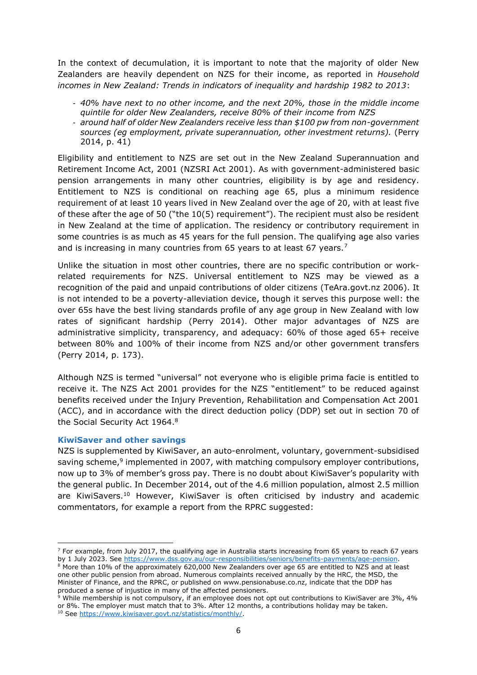In the context of decumulation, it is important to note that the majority of older New Zealanders are heavily dependent on NZS for their income, as reported in *Household incomes in New Zealand: Trends in indicators of inequality and hardship 1982 to 2013*:

- *40% have next to no other income, and the next 20%, those in the middle income quintile for older New Zealanders, receive 80% of their income from NZS*
- *around half of older New Zealanders receive less than \$100 pw from non-government sources (eg employment, private superannuation, other investment returns).* [\(Perry](#page-24-2)  [2014, p. 41\)](#page-24-2)

Eligibility and entitlement to NZS are set out in the New Zealand Superannuation and Retirement Income Act, 2001 (NZSRI Act 2001). As with government-administered basic pension arrangements in many other countries, eligibility is by age and residency. Entitlement to NZS is conditional on reaching age 65, plus a minimum residence requirement of at least 10 years lived in New Zealand over the age of 20, with at least five of these after the age of 50 ("the 10(5) requirement"). The recipient must also be resident in New Zealand at the time of application. The residency or contributory requirement in some countries is as much as 45 years for the full pension. The qualifying age also varies and is increasing in many countries from 65 years to at least 67 years.<sup>7</sup>

Unlike the situation in most other countries, there are no specific contribution or workrelated requirements for NZS. Universal entitlement to NZS may be viewed as a recognition of the paid and unpaid contributions of older citizens [\(TeAra.govt.nz 2006\)](#page-24-3). It is not intended to be a poverty-alleviation device, though it serves this purpose well: the over 65s have the best living standards profile of any age group in New Zealand with low rates of significant hardship [\(Perry 2014\)](#page-24-2). Other major advantages of NZS are administrative simplicity, transparency, and adequacy: 60% of those aged 65+ receive between 80% and 100% of their income from NZS and/or other government transfers [\(Perry 2014, p. 173\)](#page-24-2).

Although NZS is termed "universal" not everyone who is eligible prima facie is entitled to receive it. The NZS Act 2001 provides for the NZS "entitlement" to be reduced against benefits received under the Injury Prevention, Rehabilitation and Compensation Act 2001 (ACC), and in accordance with the direct deduction policy (DDP) set out in section 70 of the Social Security Act 1964.<sup>8</sup>

#### <span id="page-5-0"></span>**KiwiSaver and other savings**

**.** 

NZS is supplemented by KiwiSaver, an auto-enrolment, voluntary, government-subsidised saving scheme,<sup>9</sup> implemented in 2007, with matching compulsory employer contributions, now up to 3% of member's gross pay. There is no doubt about KiwiSaver's popularity with the general public. In December 2014, out of the 4.6 million population, almost 2.5 million are KiwiSavers.<sup>10</sup> However, KiwiSaver is often criticised by industry and academic commentators, for example a report from the RPRC suggested:

 $7$  For example, from July 2017, the qualifying age in Australia starts increasing from 65 years to reach 67 years by 1 July 2023. See [https://www.dss.gov.au/our-responsibilities/seniors/benefits-payments/age-pension.](https://www.dss.gov.au/our-responsibilities/seniors/benefits-payments/age-pension)

<sup>8</sup> More than 10% of the approximately 620,000 New Zealanders over age 65 are entitled to NZS and at least one other public pension from abroad. Numerous complaints received annually by the HRC, the MSD, the Minister of Finance, and the RPRC, or published on www.pensionabuse.co.nz, indicate that the DDP has produced a sense of injustice in many of the affected pensioners.

<sup>&</sup>lt;sup>9</sup> While membership is not compulsory, if an employee does not opt out contributions to KiwiSaver are 3%, 4% or 8%. The employer must match that to 3%. After 12 months, a contributions holiday may be taken. <sup>10</sup> See [https://www.kiwisaver.govt.nz/statistics/monthly/.](https://www.kiwisaver.govt.nz/statistics/monthly/)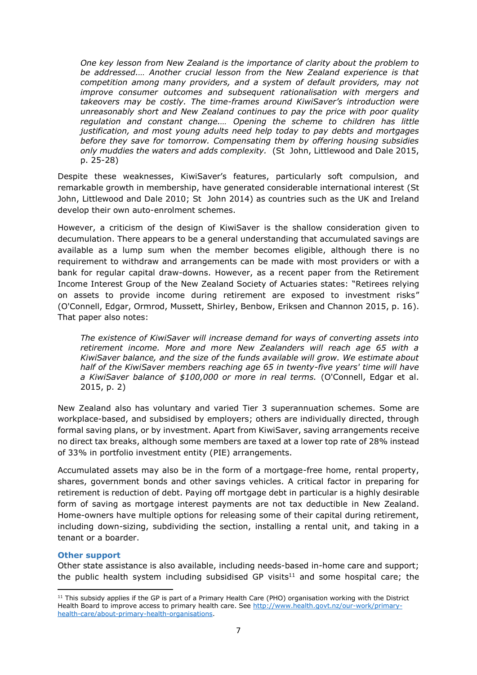*One key lesson from New Zealand is the importance of clarity about the problem to be addressed.… Another crucial lesson from the New Zealand experience is that competition among many providers, and a system of default providers, may not improve consumer outcomes and subsequent rationalisation with mergers and takeovers may be costly. The time-frames around KiwiSaver's introduction were unreasonably short and New Zealand continues to pay the price with poor quality regulation and constant change.… Opening the scheme to children has little justification, and most young adults need help today to pay debts and mortgages before they save for tomorrow. Compensating them by offering housing subsidies only muddies the waters and adds complexity.* [\(St John, Littlewood and Dale 2015,](#page-24-4)  [p. 25-28\)](#page-24-4)

Despite these weaknesses, KiwiSaver's features, particularly soft compulsion, and remarkable growth in membership, have generated considerable international interest [\(St](#page-24-5)  [John, Littlewood and Dale 2010;](#page-24-5) [St John 2014\)](#page-24-6) as countries such as the UK and Ireland develop their own auto-enrolment schemes.

However, a criticism of the design of KiwiSaver is the shallow consideration given to decumulation. There appears to be a general understanding that accumulated savings are available as a lump sum when the member becomes eligible, although there is no requirement to withdraw and arrangements can be made with most providers or with a bank for regular capital draw-downs. However, as a recent paper from the Retirement Income Interest Group of the New Zealand Society of Actuaries states: "Retirees relying on assets to provide income during retirement are exposed to investment risks" [\(O'Connell, Edgar, Ormrod, Mussett, Shirley, Benbow, Eriksen and Channon 2015, p. 16\)](#page-24-7). That paper also notes:

*The existence of KiwiSaver will increase demand for ways of converting assets into retirement income. More and more New Zealanders will reach age 65 with a KiwiSaver balance, and the size of the funds available will grow. We estimate about half of the KiwiSaver members reaching age 65 in twenty-five years' time will have a KiwiSaver balance of \$100,000 or more in real terms.* [\(O'Connell, Edgar et al.](#page-24-7)  [2015, p. 2\)](#page-24-7)

New Zealand also has voluntary and varied Tier 3 superannuation schemes. Some are workplace-based, and subsidised by employers; others are individually directed, through formal saving plans, or by investment. Apart from KiwiSaver, saving arrangements receive no direct tax breaks, although some members are taxed at a lower top rate of 28% instead of 33% in portfolio investment entity (PIE) arrangements.

Accumulated assets may also be in the form of a mortgage-free home, rental property, shares, government bonds and other savings vehicles. A critical factor in preparing for retirement is reduction of debt. Paying off mortgage debt in particular is a highly desirable form of saving as mortgage interest payments are not tax deductible in New Zealand. Home-owners have multiple options for releasing some of their capital during retirement, including down-sizing, subdividing the section, installing a rental unit, and taking in a tenant or a boarder.

#### <span id="page-6-0"></span>**Other support**

**.** 

Other state assistance is also available, including needs-based in-home care and support; the public health system including subsidised GP visits $11$  and some hospital care; the

 $11$  This subsidy applies if the GP is part of a Primary Health Care (PHO) organisation working with the District Health Board to improve access to primary health care. See [http://www.health.govt.nz/our-work/primary](http://www.health.govt.nz/our-work/primary-health-care/about-primary-health-organisations)[health-care/about-primary-health-organisations.](http://www.health.govt.nz/our-work/primary-health-care/about-primary-health-organisations)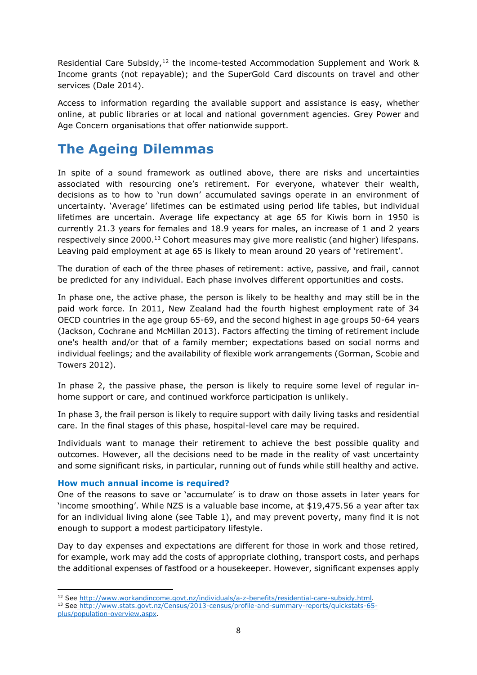Residential Care Subsidy,<sup>12</sup> the income-tested Accommodation Supplement and Work & Income grants (not repayable); and the SuperGold Card discounts on travel and other services [\(Dale 2014\)](#page-23-3).

Access to information regarding the available support and assistance is easy, whether online, at public libraries or at local and national government agencies. Grey Power and Age Concern organisations that offer nationwide support.

### <span id="page-7-0"></span>**The Ageing Dilemmas**

In spite of a sound framework as outlined above, there are risks and uncertainties associated with resourcing one's retirement. For everyone, whatever their wealth, decisions as to how to 'run down' accumulated savings operate in an environment of uncertainty. 'Average' lifetimes can be estimated using period life tables, but individual lifetimes are uncertain. Average life expectancy at age 65 for Kiwis born in 1950 is currently 21.3 years for females and 18.9 years for males, an increase of 1 and 2 years respectively since 2000.<sup>13</sup> Cohort measures may give more realistic (and higher) lifespans. Leaving paid employment at age 65 is likely to mean around 20 years of 'retirement'.

The duration of each of the three phases of retirement: active, passive, and frail, cannot be predicted for any individual. Each phase involves different opportunities and costs.

In phase one, the active phase, the person is likely to be healthy and may still be in the paid work force. In 2011, New Zealand had the fourth highest employment rate of 34 OECD countries in the age group 65-69, and the second highest in age groups 50-64 years [\(Jackson, Cochrane and McMillan 2013\)](#page-23-4). Factors affecting the timing of retirement include one's health and/or that of a family member; expectations based on social norms and individual feelings; and the availability of flexible work arrangements [\(Gorman, Scobie and](#page-23-5)  [Towers 2012\)](#page-23-5).

In phase 2, the passive phase, the person is likely to require some level of regular inhome support or care, and continued workforce participation is unlikely.

In phase 3, the frail person is likely to require support with daily living tasks and residential care. In the final stages of this phase, hospital-level care may be required.

Individuals want to manage their retirement to achieve the best possible quality and outcomes. However, all the decisions need to be made in the reality of vast uncertainty and some significant risks, in particular, running out of funds while still healthy and active.

#### **How much annual income is required?**

One of the reasons to save or 'accumulate' is to draw on those assets in later years for 'income smoothing'. While NZS is a valuable base income, at \$19,475.56 a year after tax for an individual living alone (see Table 1), and may prevent poverty, many find it is not enough to support a modest participatory lifestyle.

Day to day expenses and expectations are different for those in work and those retired, for example, work may add the costs of appropriate clothing, transport costs, and perhaps the additional expenses of fastfood or a housekeeper. However, significant expenses apply

**<sup>.</sup>** <sup>12</sup> See [http://www.workandincome.govt.nz/individuals/a-z-benefits/residential-care-subsidy.html.](http://www.workandincome.govt.nz/individuals/a-z-benefits/residential-care-subsidy.html)

<sup>13</sup> See http://www.stats.govt.nz/Census/2013-census/profile-and-summary-reports/quickstats-65-

plus/population-overview.aspx.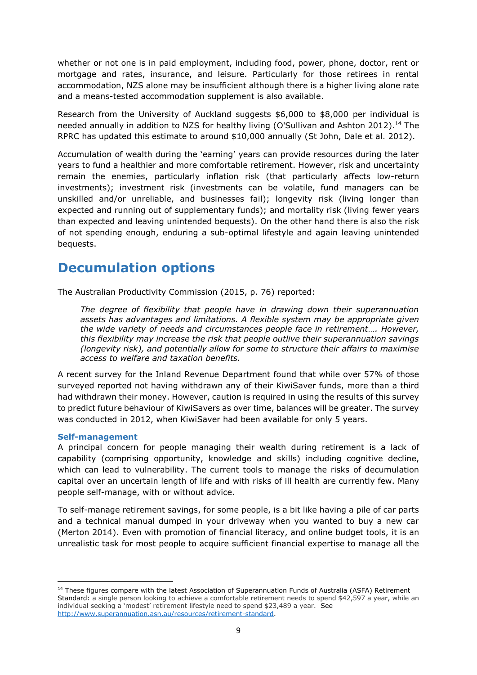whether or not one is in paid employment, including food, power, phone, doctor, rent or mortgage and rates, insurance, and leisure. Particularly for those retirees in rental accommodation, NZS alone may be insufficient although there is a higher living alone rate and a means-tested accommodation supplement is also available.

Research from the University of Auckland suggests \$6,000 to \$8,000 per individual is needed annually in addition to NZS for healthy living [\(O'Sullivan and Ashton 2012\)](#page-24-8).<sup>14</sup> The RPRC has updated this estimate to around \$10,000 annually [\(St John, Dale et al. 2012\)](#page-24-0).

Accumulation of wealth during the 'earning' years can provide resources during the later years to fund a healthier and more comfortable retirement. However, risk and uncertainty remain the enemies, particularly inflation risk (that particularly affects low-return investments); investment risk (investments can be volatile, fund managers can be unskilled and/or unreliable, and businesses fail); longevity risk (living longer than expected and running out of supplementary funds); and mortality risk (living fewer years than expected and leaving unintended bequests). On the other hand there is also the risk of not spending enough, enduring a sub-optimal lifestyle and again leaving unintended bequests.

### <span id="page-8-0"></span>**Decumulation options**

The Australian Productivity Commission [\(2015, p. 76\)](#page-24-9) reported:

*The degree of flexibility that people have in drawing down their superannuation assets has advantages and limitations. A flexible system may be appropriate given the wide variety of needs and circumstances people face in retirement…. However, this flexibility may increase the risk that people outlive their superannuation savings (longevity risk), and potentially allow for some to structure their affairs to maximise access to welfare and taxation benefits.* 

A recent survey for the Inland Revenue Department found that while over 57% of those surveyed reported not having withdrawn any of their KiwiSaver funds, more than a third had withdrawn their money. However, caution is required in using the results of this survey to predict future behaviour of KiwiSavers as over time, balances will be greater. The survey was conducted in 2012, when KiwiSaver had been available for only 5 years.

#### <span id="page-8-1"></span>**Self-management**

**.** 

A principal concern for people managing their wealth during retirement is a lack of capability (comprising opportunity, knowledge and skills) including cognitive decline, which can lead to vulnerability. The current tools to manage the risks of decumulation capital over an uncertain length of life and with risks of ill health are currently few. Many people self-manage, with or without advice.

To self-manage retirement savings, for some people, is a bit like having a pile of car parts and a technical manual dumped in your driveway when you wanted to buy a new car [\(Merton 2014\)](#page-23-6). Even with promotion of financial literacy, and online budget tools, it is an unrealistic task for most people to acquire sufficient financial expertise to manage all the

<sup>&</sup>lt;sup>14</sup> These figures compare with the latest Association of Superannuation Funds of Australia (ASFA) Retirement Standard: a single person looking to achieve a comfortable retirement needs to spend \$42,597 a year, while an individual seeking a 'modest' retirement lifestyle need to spend \$23,489 a year. See [http://www.superannuation.asn.au/resources/retirement-standard.](http://www.superannuation.asn.au/resources/retirement-standard)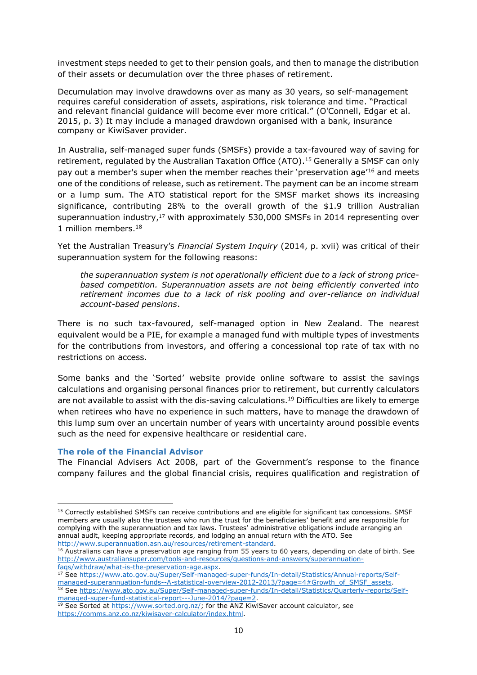investment steps needed to get to their pension goals, and then to manage the distribution of their assets or decumulation over the three phases of retirement.

Decumulation may involve drawdowns over as many as 30 years, so self-management requires careful consideration of assets, aspirations, risk tolerance and time. "Practical and relevant financial guidance will become ever more critical." [\(O'Connell, Edgar et al.](#page-24-7)  [2015, p. 3\)](#page-24-7) It may include a managed drawdown organised with a bank, insurance company or KiwiSaver provider.

In Australia, self-managed super funds (SMSFs) provide a tax-favoured way of saving for retirement, regulated by the Australian Taxation Office (ATO). <sup>15</sup> Generally a SMSF can only pay out a member's super when the member reaches their 'preservation age<sup>'16</sup> and meets one of the conditions of release, such as retirement. The payment can be an income stream or a lump sum. The ATO statistical report for the SMSF market shows its increasing significance, contributing 28% to the overall growth of the \$1.9 trillion Australian superannuation industry, $17$  with approximately 530,000 SMSFs in 2014 representing over 1 million members.<sup>18</sup>

Yet the Australian Treasury's *Financial System Inquiry* [\(2014, p. xvii\)](#page-24-10) was critical of their superannuation system for the following reasons:

*the superannuation system is not operationally efficient due to a lack of strong pricebased competition. Superannuation assets are not being efficiently converted into retirement incomes due to a lack of risk pooling and over-reliance on individual account-based pensions*.

There is no such tax-favoured, self-managed option in New Zealand. The nearest equivalent would be a PIE, for example a managed fund with multiple types of investments for the contributions from investors, and offering a concessional top rate of tax with no restrictions on access.

Some banks and the 'Sorted' website provide online software to assist the savings calculations and organising personal finances prior to retirement, but currently calculators are not available to assist with the dis-saving calculations.<sup>19</sup> Difficulties are likely to emerge when retirees who have no experience in such matters, have to manage the drawdown of this lump sum over an uncertain number of years with uncertainty around possible events such as the need for expensive healthcare or residential care.

#### <span id="page-9-0"></span>**The role of the Financial Advisor**

1

The Financial Advisers Act 2008, part of the Government's response to the finance company failures and the global financial crisis, requires qualification and registration of

<sup>&</sup>lt;sup>15</sup> Correctly established SMSFs can receive contributions and are eligible for significant tax concessions. SMSF members are usually also the trustees who run the trust for the beneficiaries' benefit and are responsible for complying with the superannuation and tax laws. Trustees' administrative obligations include arranging an annual audit, keeping appropriate records, and lodging an annual return with the ATO. See [http://www.superannuation.asn.au/resources/retirement-standard.](http://www.superannuation.asn.au/resources/retirement-standard)

<sup>&</sup>lt;sup>16</sup> Australians can have a preservation age ranging from 55 years to 60 years, depending on date of birth. See [http://www.australiansuper.com/tools-and-resources/questions-and-answers/superannuation](http://www.australiansuper.com/tools-and-resources/questions-and-answers/superannuation-faqs/withdraw/what-is-the-preservation-age.aspx)[faqs/withdraw/what-is-the-preservation-age.aspx.](http://www.australiansuper.com/tools-and-resources/questions-and-answers/superannuation-faqs/withdraw/what-is-the-preservation-age.aspx)

<sup>17</sup> See [https://www.ato.gov.au/Super/Self-managed-super-funds/In-detail/Statistics/Annual-reports/Self](https://www.ato.gov.au/Super/Self-managed-super-funds/In-detail/Statistics/Annual-reports/Self-managed-superannuation-funds--A-statistical-overview-2012-2013/?page=4#Growth_of_SMSF_assets)[managed-superannuation-funds--A-statistical-overview-2012-2013/?page=4#Growth\\_of\\_SMSF\\_assets.](https://www.ato.gov.au/Super/Self-managed-super-funds/In-detail/Statistics/Annual-reports/Self-managed-superannuation-funds--A-statistical-overview-2012-2013/?page=4#Growth_of_SMSF_assets)

<sup>&</sup>lt;sup>18</sup> See [https://www.ato.gov.au/Super/Self-managed-super-funds/In-detail/Statistics/Quarterly-reports/Self](https://www.ato.gov.au/Super/Self-managed-super-funds/In-detail/Statistics/Quarterly-reports/Self-managed-super-fund-statistical-report---June-2014/?page=2)[managed-super-fund-statistical-report---June-2014/?page=2.](https://www.ato.gov.au/Super/Self-managed-super-funds/In-detail/Statistics/Quarterly-reports/Self-managed-super-fund-statistical-report---June-2014/?page=2)

<sup>&</sup>lt;sup>19</sup> See Sorted at [https://www.sorted.org.nz/;](https://www.sorted.org.nz/) for the ANZ KiwiSaver account calculator, see [https://comms.anz.co.nz/kiwisaver-calculator/index.html.](https://comms.anz.co.nz/kiwisaver-calculator/index.html)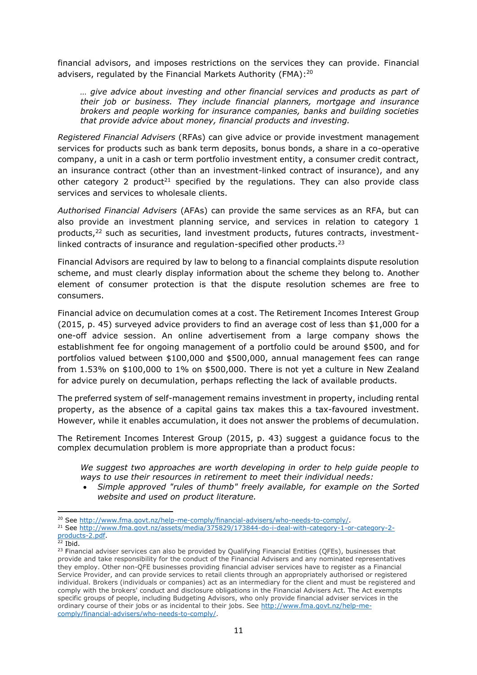financial advisors, and imposes restrictions on the services they can provide. Financial advisers, regulated by the Financial Markets Authority (FMA):<sup>20</sup>

*… give advice about investing and other financial services and products as part of their job or business. They include financial planners, mortgage and insurance brokers and people working for insurance companies, banks and building societies that provide advice about money, financial products and investing.*

*Registered Financial Advisers* (RFAs) can give advice or provide investment management services for products such as bank term deposits, bonus bonds, a share in a co-operative company, a unit in a cash or term portfolio investment entity, a consumer credit contract, an insurance contract (other than an investment-linked contract of insurance), and any other category 2 product<sup>21</sup> specified by the regulations. They can also provide class services and services to wholesale clients.

*Authorised Financial Advisers* (AFAs) can provide the same services as an RFA, but can also provide an investment planning service, and services in relation to category 1 products,<sup>22</sup> such as securities, land investment products, futures contracts, investmentlinked contracts of insurance and regulation-specified other products.<sup>23</sup>

Financial Advisors are required by law to belong to a financial complaints dispute resolution scheme, and must clearly display information about the scheme they belong to. Another element of consumer protection is that the dispute resolution schemes are free to consumers.

Financial advice on decumulation comes at a cost. The Retirement Incomes Interest Group (2015, p. 45) surveyed advice providers to find an average cost of less than \$1,000 for a one-off advice session. An online advertisement from a large company shows the establishment fee for ongoing management of a portfolio could be around \$500, and for portfolios valued between \$100,000 and \$500,000, annual management fees can range from 1.53% on \$100,000 to 1% on \$500,000. There is not yet a culture in New Zealand for advice purely on decumulation, perhaps reflecting the lack of available products.

The preferred system of self-management remains investment in property, including rental property, as the absence of a capital gains tax makes this a tax-favoured investment. However, while it enables accumulation, it does not answer the problems of decumulation.

The Retirement Incomes Interest Group (2015, p. 43) suggest a guidance focus to the complex decumulation problem is more appropriate than a product focus:

*We suggest two approaches are worth developing in order to help guide people to ways to use their resources in retirement to meet their individual needs:* 

 *Simple approved "rules of thumb" freely available, for example on the Sorted website and used on product literature.* 

<sup>1</sup> <sup>20</sup> See [http://www.fma.govt.nz/help-me-comply/financial-advisers/who-needs-to-comply/.](http://www.fma.govt.nz/help-me-comply/financial-advisers/who-needs-to-comply/)

<sup>21</sup> See [http://www.fma.govt.nz/assets/media/375829/173844-do-i-deal-with-category-1-or-category-2](http://www.fma.govt.nz/assets/media/375829/173844-do-i-deal-with-category-1-or-category-2-products-2.pdf) [products-2.pdf.](http://www.fma.govt.nz/assets/media/375829/173844-do-i-deal-with-category-1-or-category-2-products-2.pdf)

 $22$  Ibid.

<sup>&</sup>lt;sup>23</sup> Financial adviser services can also be provided by Qualifying Financial Entities (QFEs), businesses that provide and take responsibility for the conduct of the Financial Advisers and any nominated representatives they employ. Other non-QFE businesses providing financial adviser services have to register as a Financial Service Provider, and can provide services to retail clients through an appropriately authorised or registered individual. Brokers (individuals or companies) act as an intermediary for the client and must be registered and comply with the brokers' conduct and disclosure obligations in the Financial Advisers Act. The Act exempts specific groups of people, including Budgeting Advisors, who only provide financial adviser services in the ordinary course of their jobs or as incidental to their jobs. See [http://www.fma.govt.nz/help-me](http://www.fma.govt.nz/help-me-comply/financial-advisers/who-needs-to-comply/)[comply/financial-advisers/who-needs-to-comply/.](http://www.fma.govt.nz/help-me-comply/financial-advisers/who-needs-to-comply/)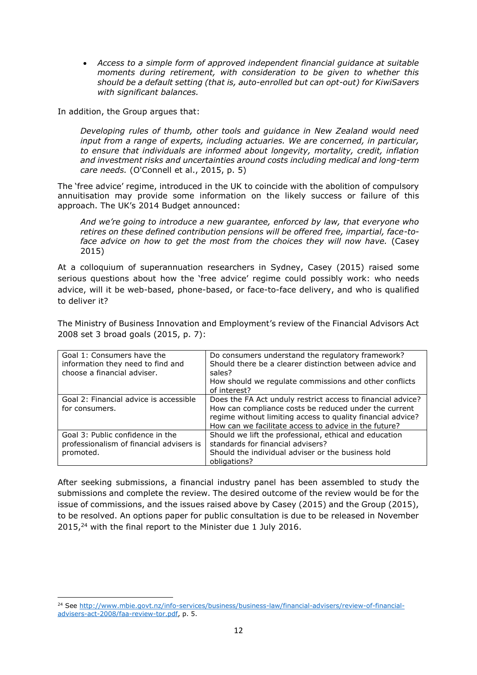*Access to a simple form of approved independent financial guidance at suitable moments during retirement, with consideration to be given to whether this should be a default setting (that is, auto-enrolled but can opt-out) for KiwiSavers with significant balances.* 

In addition, the Group argues that:

*Developing rules of thumb, other tools and guidance in New Zealand would need input from a range of experts, including actuaries. We are concerned, in particular, to ensure that individuals are informed about longevity, mortality, credit, inflation and investment risks and uncertainties around costs including medical and long-term care needs.* (O'Connell et al., 2015, p. 5)

The 'free advice' regime, introduced in the UK to coincide with the abolition of compulsory annuitisation may provide some information on the likely success or failure of this approach. The UK's 2014 Budget announced:

*And we're going to introduce a new guarantee, enforced by law, that everyone who retires on these defined contribution pensions will be offered free, impartial, face-toface advice on how to get the most from the choices they will now have.* [\(Casey](#page-23-7)  [2015\)](#page-23-7)

At a colloquium of superannuation researchers in Sydney, Casey [\(2015\)](#page-23-7) raised some serious questions about how the 'free advice' regime could possibly work: who needs advice, will it be web-based, phone-based, or face-to-face delivery, and who is qualified to deliver it?

The Ministry of Business Innovation and Employment's review of the Financial Advisors Act 2008 set 3 broad goals [\(2015, p. 7\)](#page-23-8):

| Goal 1: Consumers have the<br>information they need to find and<br>choose a financial adviser. | Do consumers understand the regulatory framework?<br>Should there be a clearer distinction between advice and<br>sales?                                                                                                                      |
|------------------------------------------------------------------------------------------------|----------------------------------------------------------------------------------------------------------------------------------------------------------------------------------------------------------------------------------------------|
|                                                                                                | How should we regulate commissions and other conflicts<br>of interest?                                                                                                                                                                       |
| Goal 2: Financial advice is accessible<br>for consumers.                                       | Does the FA Act unduly restrict access to financial advice?<br>How can compliance costs be reduced under the current<br>regime without limiting access to quality financial advice?<br>How can we facilitate access to advice in the future? |
| Goal 3: Public confidence in the<br>professionalism of financial advisers is<br>promoted.      | Should we lift the professional, ethical and education<br>standards for financial advisers?<br>Should the individual adviser or the business hold<br>obligations?                                                                            |

After seeking submissions, a financial industry panel has been assembled to study the submissions and complete the review. The desired outcome of the review would be for the issue of commissions, and the issues raised above by Casey (2015) and the Group (2015), to be resolved. An options paper for public consultation is due to be released in November  $2015<sub>1</sub><sup>24</sup>$  with the final report to the Minister due 1 July 2016.

 $\overline{a}$ <sup>24</sup> See [http://www.mbie.govt.nz/info-services/business/business-law/financial-advisers/review-of-financial](http://www.mbie.govt.nz/info-services/business/business-law/financial-advisers/review-of-financial-advisers-act-2008/faa-review-tor.pdf)[advisers-act-2008/faa-review-tor.pdf,](http://www.mbie.govt.nz/info-services/business/business-law/financial-advisers/review-of-financial-advisers-act-2008/faa-review-tor.pdf) p. 5.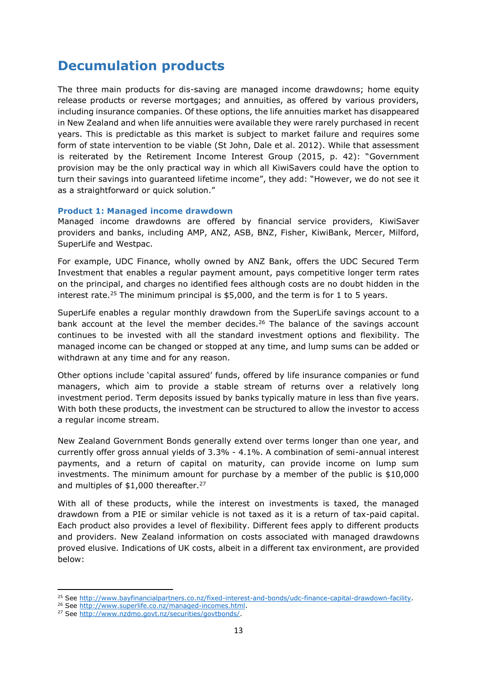### <span id="page-12-0"></span>**Decumulation products**

The three main products for dis-saving are managed income drawdowns; home equity release products or reverse mortgages; and annuities, as offered by various providers, including insurance companies. Of these options, the life annuities market has disappeared in New Zealand and when life annuities were available they were rarely purchased in recent years. This is predictable as this market is subject to market failure and requires some form of state intervention to be viable [\(St John, Dale et al. 2012\)](#page-24-0). While that assessment is reiterated by the Retirement Income Interest Group (2015, p. 42): "Government provision may be the only practical way in which all KiwiSavers could have the option to turn their savings into guaranteed lifetime income", they add: "However, we do not see it as a straightforward or quick solution."

#### <span id="page-12-1"></span>**Product 1: Managed income drawdown**

Managed income drawdowns are offered by financial service providers, KiwiSaver providers and banks, including AMP, ANZ, ASB, BNZ, Fisher, KiwiBank, Mercer, Milford, SuperLife and Westpac.

For example, UDC Finance, wholly owned by ANZ Bank, offers the UDC Secured Term Investment that enables a regular payment amount, pays competitive longer term rates on the principal, and charges no identified fees although costs are no doubt hidden in the interest rate.<sup>25</sup> The minimum principal is  $$5,000$ , and the term is for 1 to 5 years.

SuperLife enables a regular monthly drawdown from the SuperLife savings account to a bank account at the level the member decides. <sup>26</sup> The balance of the savings account continues to be invested with all the standard investment options and flexibility. The managed income can be changed or stopped at any time, and lump sums can be added or withdrawn at any time and for any reason.

Other options include 'capital assured' funds, offered by life insurance companies or fund managers, which aim to provide a stable stream of returns over a relatively long investment period. Term deposits issued by banks typically mature in less than five years. With both these products, the investment can be structured to allow the investor to access a regular income stream.

New Zealand Government Bonds generally extend over terms longer than one year, and currently offer gross annual yields of 3.3% - 4.1%. A combination of semi-annual interest payments, and a return of capital on maturity, can provide income on lump sum investments. The minimum amount for purchase by a member of the public is \$10,000 and multiples of \$1,000 thereafter.<sup>27</sup>

With all of these products, while the interest on investments is taxed, the managed drawdown from a PIE or similar vehicle is not taxed as it is a return of tax-paid capital. Each product also provides a level of flexibility. Different fees apply to different products and providers. New Zealand information on costs associated with managed drawdowns proved elusive. Indications of UK costs, albeit in a different tax environment, are provided below:

<sup>25</sup> See [http://www.bayfinancialpartners.co.nz/fixed-interest-and-bonds/udc-finance-capital-drawdown-facility.](http://www.bayfinancialpartners.co.nz/fixed-interest-and-bonds/udc-finance-capital-drawdown-facility)

<sup>&</sup>lt;sup>26</sup> See [http://www.superlife.co.nz/managed-incomes.html.](http://www.superlife.co.nz/managed-incomes.html)

<sup>&</sup>lt;sup>27</sup> See http://www.nzdmo.govt.nz/securities/govtbonds/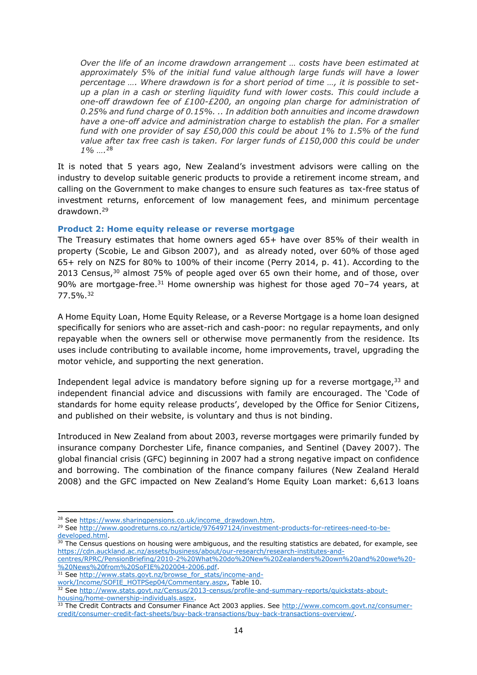*Over the life of an income drawdown arrangement … costs have been estimated at approximately 5% of the initial fund value although large funds will have a lower percentage …. Where drawdown is for a short period of time …, it is possible to setup a plan in a cash or sterling liquidity fund with lower costs. This could include a one-off drawdown fee of £100-£200, an ongoing plan charge for administration of 0.25% and fund charge of 0.15%. .. In addition both annuities and income drawdown have a one-off advice and administration charge to establish the plan. For a smaller fund with one provider of say £50,000 this could be about 1% to 1.5% of the fund value after tax free cash is taken. For larger funds of £150,000 this could be under 1% ….* 28

It is noted that 5 years ago, New Zealand's investment advisors were calling on the industry to develop suitable generic products to provide a retirement income stream, and calling on the Government to make changes to ensure such features as tax-free status of investment returns, enforcement of low management fees, and minimum percentage drawdown.<sup>29</sup>

#### <span id="page-13-0"></span>**Product 2: Home equity release or reverse mortgage**

The Treasury estimates that home owners aged 65+ have over 85% of their wealth in property [\(Scobie, Le and Gibson 2007\)](#page-24-11), and as already noted, over 60% of those aged 65+ rely on NZS for 80% to 100% of their income [\(Perry 2014, p. 41\)](#page-24-2). According to the 2013 Census,<sup>30</sup> almost 75% of people aged over 65 own their home, and of those, over 90% are mortgage-free. $31$  Home ownership was highest for those aged 70–74 years, at 77.5%.<sup>32</sup>

A Home Equity Loan, Home Equity Release, or a Reverse Mortgage is a home loan designed specifically for seniors who are asset-rich and cash-poor: no regular repayments, and only repayable when the owners sell or otherwise move permanently from the residence. Its uses include contributing to available income, home improvements, travel, upgrading the motor vehicle, and supporting the next generation.

Independent legal advice is mandatory before signing up for a reverse mortgage,  $33$  and independent financial advice and discussions with family are encouraged. The 'Code of standards for home equity release products', developed by the Office for Senior Citizens, and published on their website, is voluntary and thus is not binding.

Introduced in New Zealand from about 2003, reverse mortgages were primarily funded by insurance company Dorchester Life, finance companies, and Sentinel [\(Davey 2007\)](#page-23-9). The global financial crisis (GFC) beginning in 2007 had a strong negative impact on confidence and borrowing. The combination of the finance company failures [\(New Zealand Herald](#page-23-10)  [2008\)](#page-23-10) and the GFC impacted on New Zealand's Home Equity Loan market: 6,613 loans

<sup>1</sup> <sup>28</sup> See [https://www.sharingpensions.co.uk/income\\_drawdown.htm.](https://www.sharingpensions.co.uk/income_drawdown.htm)

<sup>29</sup> See [http://www.goodreturns.co.nz/article/976497124/investment-products-for-retirees-need-to-be](http://www.goodreturns.co.nz/article/976497124/investment-products-for-retirees-need-to-be-developed.html)[developed.html.](http://www.goodreturns.co.nz/article/976497124/investment-products-for-retirees-need-to-be-developed.html)

 $30$  The Census questions on housing were ambiguous, and the resulting statistics are debated, for example, see [https://cdn.auckland.ac.nz/assets/business/about/our-research/research-institutes-and](https://cdn.auckland.ac.nz/assets/business/about/our-research/research-institutes-and-centres/RPRC/PensionBriefing/2010-2%20What%20do%20New%20Zealanders%20own%20and%20owe%20-%20News%20from%20SoFIE%202004-2006.pdf)[centres/RPRC/PensionBriefing/2010-2%20What%20do%20New%20Zealanders%20own%20and%20owe%20-](https://cdn.auckland.ac.nz/assets/business/about/our-research/research-institutes-and-centres/RPRC/PensionBriefing/2010-2%20What%20do%20New%20Zealanders%20own%20and%20owe%20-%20News%20from%20SoFIE%202004-2006.pdf)

[<sup>%20</sup>News%20from%20SoFIE%202004-2006.pdf.](https://cdn.auckland.ac.nz/assets/business/about/our-research/research-institutes-and-centres/RPRC/PensionBriefing/2010-2%20What%20do%20New%20Zealanders%20own%20and%20owe%20-%20News%20from%20SoFIE%202004-2006.pdf)

<sup>31</sup> See [http://www.stats.govt.nz/browse\\_for\\_stats/income-and-](http://www.stats.govt.nz/browse_for_stats/income-and-work/Income/SOFIE_HOTPSep04/Commentary.aspx)

[work/Income/SOFIE\\_HOTPSep04/Commentary.aspx,](http://www.stats.govt.nz/browse_for_stats/income-and-work/Income/SOFIE_HOTPSep04/Commentary.aspx) Table 10.

<sup>32</sup> See [http://www.stats.govt.nz/Census/2013-census/profile-and-summary-reports/quickstats-about](http://www.stats.govt.nz/Census/2013-census/profile-and-summary-reports/quickstats-about-housing/home-ownership-individuals.aspx)[housing/home-ownership-individuals.aspx.](http://www.stats.govt.nz/Census/2013-census/profile-and-summary-reports/quickstats-about-housing/home-ownership-individuals.aspx)

<sup>33</sup> The Credit Contracts and Consumer Finance Act 2003 applies. See [http://www.comcom.govt.nz/consumer](http://www.comcom.govt.nz/consumer-credit/consumer-credit-fact-sheets/buy-back-transactions/buy-back-transactions-overview/)[credit/consumer-credit-fact-sheets/buy-back-transactions/buy-back-transactions-overview/.](http://www.comcom.govt.nz/consumer-credit/consumer-credit-fact-sheets/buy-back-transactions/buy-back-transactions-overview/)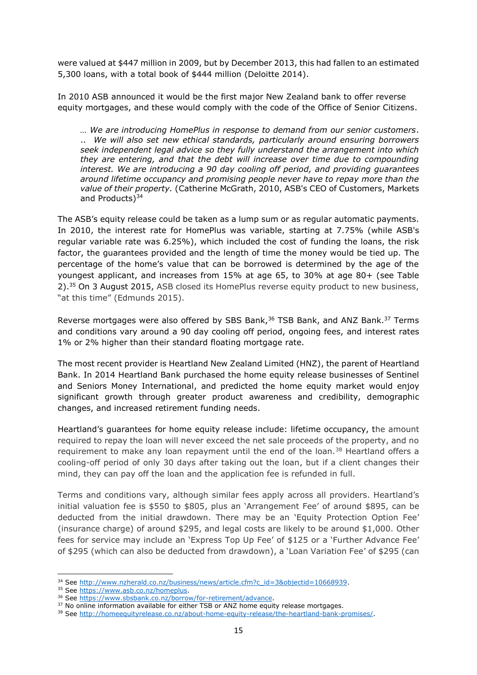were valued at \$447 million in 2009, but by December 2013, this had fallen to an estimated 5,300 loans, with a total book of \$444 million [\(Deloitte 2014\)](#page-23-11).

In 2010 ASB announced it would be the first major New Zealand bank to offer reverse equity mortgages, and these would comply with the code of the Office of Senior Citizens.

*… We are introducing HomePlus in response to demand from our senior customers*. .. *We will also set new ethical standards, particularly around ensuring borrowers seek independent legal advice so they fully understand the arrangement into which they are entering, and that the debt will increase over time due to compounding interest. We are introducing a 90 day cooling off period, and providing guarantees around lifetime occupancy and promising people never have to repay more than the value of their property.* (Catherine McGrath, 2010, ASB's CEO of Customers, Markets and Products)<sup>34</sup>

The ASB's equity release could be taken as a lump sum or as regular automatic payments. In 2010, the interest rate for HomePlus was variable, starting at 7.75% (while ASB's regular variable rate was 6.25%), which included the cost of funding the loans, the risk factor, the guarantees provided and the length of time the money would be tied up. The percentage of the home's value that can be borrowed is determined by the age of the youngest applicant, and increases from 15% at age 65, to 30% at age 80+ (see Table 2).<sup>35</sup> On 3 August 2015, ASB closed its HomePlus reverse equity product to new business, "at this time" [\(Edmunds 2015\)](#page-23-12).

Reverse mortgages were also offered by SBS Bank,<sup>36</sup> TSB Bank, and ANZ Bank.<sup>37</sup> Terms and conditions vary around a 90 day cooling off period, ongoing fees, and interest rates 1% or 2% higher than their standard floating mortgage rate.

The most recent provider is Heartland New Zealand Limited (HNZ), the parent of Heartland Bank. In 2014 Heartland Bank purchased the home equity release businesses of Sentinel and Seniors Money International, and predicted the home equity market would enjoy significant growth through greater product awareness and credibility, demographic changes, and increased retirement funding needs.

Heartland's guarantees for home equity release include: lifetime occupancy, the amount required to repay the loan will never exceed the net sale proceeds of the property, and no requirement to make any loan repayment until the end of the loan.<sup>38</sup> Heartland offers a cooling-off period of only 30 days after taking out the loan, but if a client changes their mind, they can pay off the loan and the application fee is refunded in full.

Terms and conditions vary, although similar fees apply across all providers. Heartland's initial valuation fee is \$550 to \$805, plus an 'Arrangement Fee' of around \$895, can be deducted from the initial drawdown. There may be an 'Equity Protection Option Fee' (insurance charge) of around \$295, and legal costs are likely to be around \$1,000. Other fees for service may include an 'Express Top Up Fee' of \$125 or a 'Further Advance Fee' of \$295 (which can also be deducted from drawdown), a 'Loan Variation Fee' of \$295 (can

<sup>34</sup> See [http://www.nzherald.co.nz/business/news/article.cfm?c\\_id=3&objectid=10668939.](http://www.nzherald.co.nz/business/news/article.cfm?c_id=3&objectid=10668939)

<sup>35</sup> See [https://www.asb.co.nz/homeplus.](https://www.asb.co.nz/homeplus)

<sup>36</sup> See [https://www.sbsbank.co.nz/borrow/for-retirement/advance.](https://www.sbsbank.co.nz/borrow/for-retirement/advance)

<sup>&</sup>lt;sup>37</sup> No online information available for either TSB or ANZ home equity release mortgages.

<sup>38</sup> See [http://homeequityrelease.co.nz/about-home-equity-release/the-heartland-bank-promises/.](http://homeequityrelease.co.nz/about-home-equity-release/the-heartland-bank-promises/)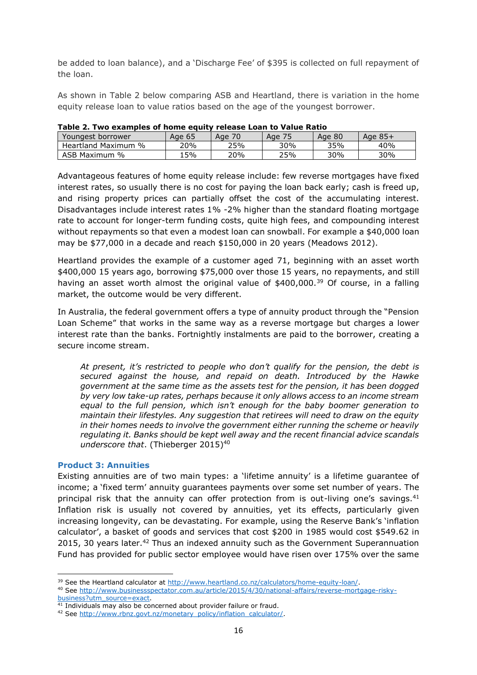be added to loan balance), and a 'Discharge Fee' of \$395 is collected on full repayment of the loan.

As shown in Table 2 below comparing ASB and Heartland, there is variation in the home equity release loan to value ratios based on the age of the youngest borrower.

| Youngest borrower   | Age 65 | Age | Age 75 | Age 80 | Age 85+ |
|---------------------|--------|-----|--------|--------|---------|
| Heartland Maximum % | 20%    | 25% | 30%    | 35%    | 40%     |
| ASB Maximum %       | 15%    | 20% | 25%    | 30%    | 30%     |

|  | Table 2. Two examples of home equity release Loan to Value Ratio |
|--|------------------------------------------------------------------|
|--|------------------------------------------------------------------|

Advantageous features of home equity release include: few reverse mortgages have fixed interest rates, so usually there is no cost for paying the loan back early; cash is freed up, and rising property prices can partially offset the cost of the accumulating interest. Disadvantages include interest rates 1% -2% higher than the standard floating mortgage rate to account for longer-term funding costs, quite high fees, and compounding interest without repayments so that even a modest loan can snowball. For example a \$40,000 loan may be \$77,000 in a decade and reach \$150,000 in 20 years [\(Meadows 2012\)](#page-23-13).

Heartland provides the example of a customer aged 71, beginning with an asset worth \$400,000 15 years ago, borrowing \$75,000 over those 15 years, no repayments, and still having an asset worth almost the original value of  $$400,000<sup>39</sup>$  Of course, in a falling market, the outcome would be very different.

In Australia, the federal government offers a type of annuity product through the "Pension Loan Scheme" that works in the same way as a reverse mortgage but charges a lower interest rate than the banks. Fortnightly instalments are paid to the borrower, creating a secure income stream.

*At present, it's restricted to people who don't qualify for the pension, the debt is secured against the house, and repaid on death. Introduced by the Hawke government at the same time as the assets test for the pension, it has been dogged by very low take-up rates, perhaps because it only allows access to an income stream equal to the full pension, which isn't enough for the baby boomer generation to maintain their lifestyles. Any suggestion that retirees will need to draw on the equity in their homes needs to involve the government either running the scheme or heavily regulating it. Banks should be kept well away and the recent financial advice scandals underscore that*. [\(Thieberger 2015\)](#page-24-12) 40

#### <span id="page-15-0"></span>**Product 3: Annuities**

Existing annuities are of two main types: a 'lifetime annuity' is a lifetime guarantee of income; a 'fixed term' annuity guarantees payments over some set number of years. The principal risk that the annuity can offer protection from is out-living one's savings. $41$ Inflation risk is usually not covered by annuities, yet its effects, particularly given increasing longevity, can be devastating. For example, using the Reserve Bank's 'inflation calculator', a basket of goods and services that cost \$200 in 1985 would cost \$549.62 in 2015, 30 years later.<sup>42</sup> Thus an indexed annuity such as the Government Superannuation Fund has provided for public sector employee would have risen over 175% over the same

**<sup>.</sup>** <sup>39</sup> See the Heartland calculator at [http://www.heartland.co.nz/calculators/home-equity-loan/.](http://www.heartland.co.nz/calculators/home-equity-loan/)

<sup>40</sup> See [http://www.businessspectator.com.au/article/2015/4/30/national-affairs/reverse-mortgage-risky](http://www.businessspectator.com.au/article/2015/4/30/national-affairs/reverse-mortgage-risky-business?utm_source=exact)[business?utm\\_source=exact.](http://www.businessspectator.com.au/article/2015/4/30/national-affairs/reverse-mortgage-risky-business?utm_source=exact)

 $41$  Individuals may also be concerned about provider failure or fraud.

<sup>42</sup> See [http://www.rbnz.govt.nz/monetary\\_policy/inflation\\_calculator/.](http://www.rbnz.govt.nz/monetary_policy/inflation_calculator/)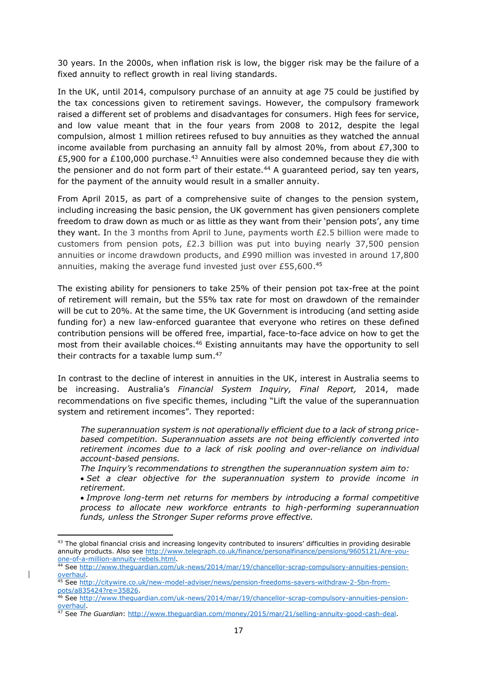30 years. In the 2000s, when inflation risk is low, the bigger risk may be the failure of a fixed annuity to reflect growth in real living standards.

In the UK, until 2014, compulsory purchase of an annuity at age 75 could be justified by the tax concessions given to retirement savings. However, the compulsory framework raised a different set of problems and disadvantages for consumers. High fees for service, and low value meant that in the four years from 2008 to 2012, despite the legal compulsion, almost 1 million retirees refused to buy annuities as they watched the annual income available from purchasing an annuity fall by almost 20%, from about  $E7,300$  to £5,900 for a £100,000 purchase.<sup>43</sup> Annuities were also condemned because they die with the pensioner and do not form part of their estate.<sup>44</sup> A guaranteed period, say ten years, for the payment of the annuity would result in a smaller annuity.

From April 2015, as part of a comprehensive suite of changes to the pension system, including increasing the basic pension, the UK government has given pensioners complete freedom to draw down as much or as little as they want from their 'pension pots', any time they want. In the 3 months from April to June, payments worth £2.5 billion were made to customers from pension pots, £2.3 billion was put into buying nearly 37,500 pension annuities or income drawdown products, and £990 million was invested in around 17,800 annuities, making the average fund invested just over £55,600. 45

The existing ability for pensioners to take 25% of their pension pot tax-free at the point of retirement will remain, but the 55% tax rate for most on drawdown of the remainder will be cut to 20%. At the same time, the UK Government is introducing (and setting aside funding for) a new law-enforced guarantee that everyone who retires on these defined contribution pensions will be offered free, impartial, face-to-face advice on how to get the most from their available choices.<sup>46</sup> Existing annuitants may have the opportunity to sell their contracts for a taxable lump sum. 47

In contrast to the decline of interest in annuities in the UK, interest in Australia seems to be increasing. Australia's *Financial System Inquiry, Final Report,* 2014, made recommendations on five specific themes, including "Lift the value of the superannuation system and retirement incomes". They reported:

*The superannuation system is not operationally efficient due to a lack of strong pricebased competition. Superannuation assets are not being efficiently converted into retirement incomes due to a lack of risk pooling and over-reliance on individual account-based pensions.*

*The Inquiry's recommendations to strengthen the superannuation system aim to:*

 *Set a clear objective for the superannuation system to provide income in retirement.*

 *Improve long-term net returns for members by introducing a formal competitive process to allocate new workforce entrants to high-performing superannuation funds, unless the Stronger Super reforms prove effective.*

**.** 

<sup>&</sup>lt;sup>43</sup> The global financial crisis and increasing longevity contributed to insurers' difficulties in providing desirable annuity products. Also see [http://www.telegraph.co.uk/finance/personalfinance/pensions/9605121/Are-you](http://www.telegraph.co.uk/finance/personalfinance/pensions/9605121/Are-you-one-of-a-million-annuity-rebels.html)[one-of-a-million-annuity-rebels.html.](http://www.telegraph.co.uk/finance/personalfinance/pensions/9605121/Are-you-one-of-a-million-annuity-rebels.html)

<sup>44</sup> See [http://www.theguardian.com/uk-news/2014/mar/19/chancellor-scrap-compulsory-annuities-pension](http://www.theguardian.com/uk-news/2014/mar/19/chancellor-scrap-compulsory-annuities-pension-overhaul)[overhaul.](http://www.theguardian.com/uk-news/2014/mar/19/chancellor-scrap-compulsory-annuities-pension-overhaul)

<sup>45</sup> See [http://citywire.co.uk/new-model-adviser/news/pension-freedoms-savers-withdraw-2-5bn-from](http://citywire.co.uk/new-model-adviser/news/pension-freedoms-savers-withdraw-2-5bn-from-pots/a835424?re=35826)[pots/a835424?re=35826.](http://citywire.co.uk/new-model-adviser/news/pension-freedoms-savers-withdraw-2-5bn-from-pots/a835424?re=35826)

<sup>46</sup> See [http://www.theguardian.com/uk-news/2014/mar/19/chancellor-scrap-compulsory-annuities-pension](http://www.theguardian.com/uk-news/2014/mar/19/chancellor-scrap-compulsory-annuities-pension-overhaul)[overhaul.](http://www.theguardian.com/uk-news/2014/mar/19/chancellor-scrap-compulsory-annuities-pension-overhaul)

<sup>47</sup> See *The Guardian*: [http://www.theguardian.com/money/2015/mar/21/selling-annuity-good-cash-deal.](http://www.theguardian.com/money/2015/mar/21/selling-annuity-good-cash-deal)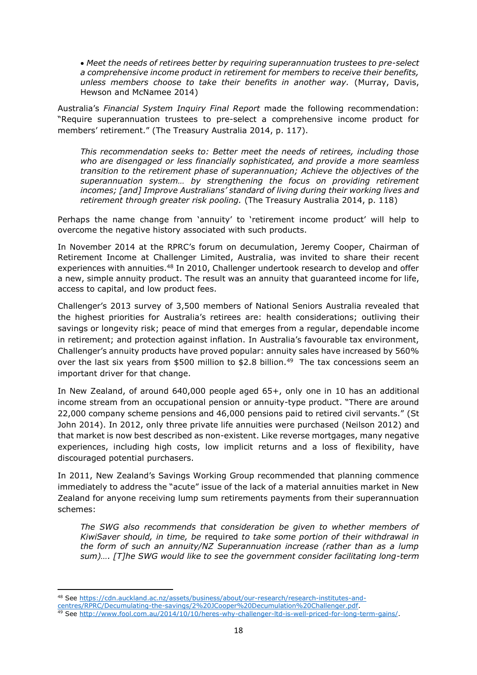*Meet the needs of retirees better by requiring superannuation trustees to pre-select a comprehensive income product in retirement for members to receive their benefits, unless members choose to take their benefits in another way.* [\(Murray, Davis,](#page-23-14)  [Hewson and McNamee 2014\)](#page-23-14)

Australia's *Financial System Inquiry Final Report* made the following recommendation: "Require superannuation trustees to pre-select a comprehensive income product for members' retirement." (The Treasury Australia 2014, p. 117).

*This recommendation seeks to: Better meet the needs of retirees, including those who are disengaged or less financially sophisticated, and provide a more seamless transition to the retirement phase of superannuation; Achieve the objectives of the superannuation system… by strengthening the focus on providing retirement incomes; [and] Improve Australians' standard of living during their working lives and retirement through greater risk pooling.* (The Treasury Australia 2014, p. 118)

Perhaps the name change from 'annuity' to 'retirement income product' will help to overcome the negative history associated with such products.

In November 2014 at the RPRC's forum on decumulation, Jeremy Cooper, Chairman of Retirement Income at Challenger Limited, Australia, was invited to share their recent experiences with annuities.<sup>48</sup> In 2010, Challenger undertook research to develop and offer a new, simple annuity product. The result was an annuity that guaranteed income for life, access to capital, and low product fees.

Challenger's 2013 survey of 3,500 members of National Seniors Australia revealed that the highest priorities for Australia's retirees are: health considerations; outliving their savings or longevity risk; peace of mind that emerges from a regular, dependable income in retirement; and protection against inflation. In Australia's favourable tax environment, Challenger's annuity products have proved popular: annuity sales have increased by 560% over the last six years from \$500 million to \$2.8 billion.<sup>49</sup> The tax concessions seem an important driver for that change.

In New Zealand, of around 640,000 people aged 65+, only one in 10 has an additional income stream from an occupational pension or annuity-type product. "There are around 22,000 company scheme pensions and 46,000 pensions paid to retired civil servants." [\(St](#page-24-13)  [John 2014\)](#page-24-13). In 2012, only three private life annuities were purchased [\(Neilson 2012\)](#page-23-15) and that market is now best described as non-existent. Like reverse mortgages, many negative experiences, including high costs, low implicit returns and a loss of flexibility, have discouraged potential purchasers.

In 2011, New Zealand's Savings Working Group recommended that planning commence immediately to address the "acute" issue of the lack of a material annuities market in New Zealand for anyone receiving lump sum retirements payments from their superannuation schemes:

*The SWG also recommends that consideration be given to whether members of KiwiSaver should, in time, be* required *to take some portion of their withdrawal in the form of such an annuity/NZ Superannuation increase (rather than as a lump sum)…. [T]he SWG would like to see the government consider facilitating long-term* 

**<sup>.</sup>** <sup>48</sup> See [https://cdn.auckland.ac.nz/assets/business/about/our-research/research-institutes-and-](https://cdn.auckland.ac.nz/assets/business/about/our-research/research-institutes-and-centres/RPRC/Decumulating-the-savings/2%20JCooper%20Decumulation%20Challenger.pdf)

[centres/RPRC/Decumulating-the-savings/2%20JCooper%20Decumulation%20Challenger.pdf.](https://cdn.auckland.ac.nz/assets/business/about/our-research/research-institutes-and-centres/RPRC/Decumulating-the-savings/2%20JCooper%20Decumulation%20Challenger.pdf)

<sup>49</sup> See [http://www.fool.com.au/2014/10/10/heres-why-challenger-ltd-is-well-priced-for-long-term-gains/.](http://www.fool.com.au/2014/10/10/heres-why-challenger-ltd-is-well-priced-for-long-term-gains/)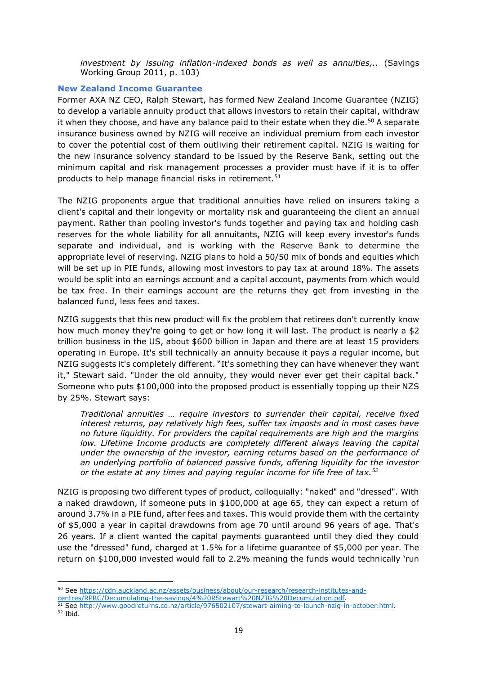*investment by issuing inflation-indexed bonds as well as annuities,..* [\(Savings](#page-24-1)  [Working Group 2011, p. 103\)](#page-24-1)

#### <span id="page-18-0"></span>**New Zealand Income Guarantee**

Former AXA NZ CEO, Ralph Stewart, has formed New Zealand Income Guarantee (NZIG) to develop a variable annuity product that allows investors to retain their capital, withdraw it when they choose, and have any balance paid to their estate when they die.<sup>50</sup> A separate insurance business owned by NZIG will receive an individual premium from each investor to cover the potential cost of them outliving their retirement capital. NZIG is waiting for the new insurance solvency standard to be issued by the Reserve Bank, setting out the minimum capital and risk management processes a provider must have if it is to offer products to help manage financial risks in retirement.<sup>51</sup>

The NZIG proponents argue that traditional annuities have relied on insurers taking a client's capital and their longevity or mortality risk and guaranteeing the client an annual payment. Rather than pooling investor's funds together and paying tax and holding cash reserves for the whole liability for all annuitants, NZIG will keep every investor's funds separate and individual, and is working with the Reserve Bank to determine the appropriate level of reserving. NZIG plans to hold a 50/50 mix of bonds and equities which will be set up in PIE funds, allowing most investors to pay tax at around 18%. The assets would be split into an earnings account and a capital account, payments from which would be tax free. In their earnings account are the returns they get from investing in the balanced fund, less fees and taxes.

NZIG suggests that this new product will fix the problem that retirees don't currently know how much money they're going to get or how long it will last. The product is nearly a \$2 trillion business in the US, about \$600 billion in Japan and there are at least 15 providers operating in Europe. It's still technically an annuity because it pays a regular income, but NZIG suggests it's completely different. "It's something they can have whenever they want it," Stewart said. "Under the old annuity, they would never ever get their capital back." Someone who puts \$100,000 into the proposed product is essentially topping up their NZS by 25%. Stewart says:

*Traditional annuities … require investors to surrender their capital, receive fixed interest returns, pay relatively high fees, suffer tax imposts and in most cases have no future liquidity. For providers the capital requirements are high and the margins low. Lifetime Income products are completely different always leaving the capital under the ownership of the investor, earning returns based on the performance of an underlying portfolio of balanced passive funds, offering liquidity for the investor or the estate at any times and paying regular income for life free of tax.<sup>52</sup>*

NZIG is proposing two different types of product, colloquially: "naked" and "dressed". With a naked drawdown, if someone puts in \$100,000 at age 65, they can expect a return of around 3.7% in a PIE fund, after fees and taxes. This would provide them with the certainty of \$5,000 a year in capital drawdowns from age 70 until around 96 years of age. That's 26 years. If a client wanted the capital payments guaranteed until they died they could use the "dressed" fund, charged at 1.5% for a lifetime guarantee of \$5,000 per year. The return on \$100,000 invested would fall to 2.2% meaning the funds would technically 'run

- <sup>51</sup> See [http://www.goodreturns.co.nz/article/976502107/stewart-aiming-to-launch-nzig-in-october.html.](http://www.goodreturns.co.nz/article/976502107/stewart-aiming-to-launch-nzig-in-october.html)
- <sup>52</sup> Ibid.

<sup>50</sup> See [https://cdn.auckland.ac.nz/assets/business/about/our-research/research-institutes-and-](https://cdn.auckland.ac.nz/assets/business/about/our-research/research-institutes-and-centres/RPRC/Decumulating-the-savings/4%20RStewart%20NZIG%20Decumulation.pdf)

[centres/RPRC/Decumulating-the-savings/4%20RStewart%20NZIG%20Decumulation.pdf.](https://cdn.auckland.ac.nz/assets/business/about/our-research/research-institutes-and-centres/RPRC/Decumulating-the-savings/4%20RStewart%20NZIG%20Decumulation.pdf)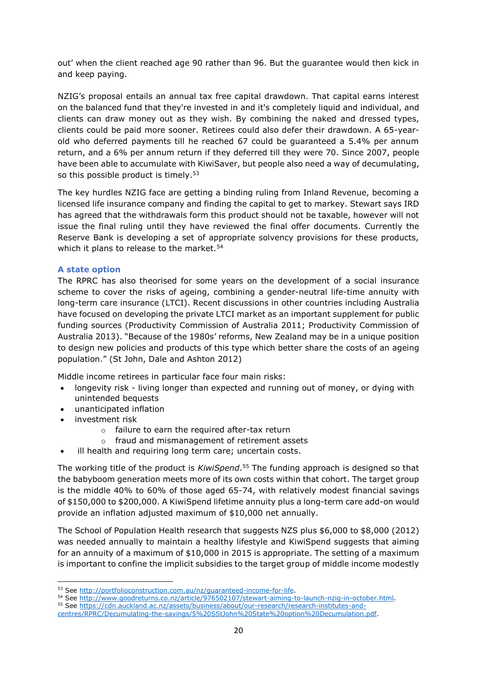out' when the client reached age 90 rather than 96. But the guarantee would then kick in and keep paying.

NZIG's proposal entails an annual tax free capital drawdown. That capital earns interest on the balanced fund that they're invested in and it's completely liquid and individual, and clients can draw money out as they wish. By combining the naked and dressed types, clients could be paid more sooner. Retirees could also defer their drawdown. A 65-yearold who deferred payments till he reached 67 could be guaranteed a 5.4% per annum return, and a 6% per annum return if they deferred till they were 70. Since 2007, people have been able to accumulate with KiwiSaver, but people also need a way of decumulating, so this possible product is timely.<sup>53</sup>

The key hurdles NZIG face are getting a binding ruling from Inland Revenue, becoming a licensed life insurance company and finding the capital to get to markey. Stewart says IRD has agreed that the withdrawals form this product should not be taxable, however will not issue the final ruling until they have reviewed the final offer documents. Currently the Reserve Bank is developing a set of appropriate solvency provisions for these products, which it plans to release to the market.<sup>54</sup>

#### <span id="page-19-0"></span>**A state option**

The RPRC has also theorised for some years on the development of a social insurance scheme to cover the risks of ageing, combining a gender-neutral life-time annuity with long-term care insurance (LTCI). Recent discussions in other countries including Australia have focused on developing the private LTCI market as an important supplement for public funding sources [\(Productivity Commission of Australia 2011;](#page-24-14) [Productivity Commission of](#page-24-15)  [Australia 2013\)](#page-24-15). "Because of the 1980s' reforms, New Zealand may be in a unique position to design new policies and products of this type which better share the costs of an ageing population." [\(St John, Dale and Ashton 2012\)](#page-24-16)

Middle income retirees in particular face four main risks:

- longevity risk living longer than expected and running out of money, or dying with unintended bequests
- unanticipated inflation
- investment risk
	- o failure to earn the required after-tax return
	- o fraud and mismanagement of retirement assets
- ill health and requiring long term care; uncertain costs.

The working title of the product is *KiwiSpend*. <sup>55</sup> The funding approach is designed so that the babyboom generation meets more of its own costs within that cohort. The target group is the middle 40% to 60% of those aged 65-74, with relatively modest financial savings of \$150,000 to \$200,000. A KiwiSpend lifetime annuity plus a long-term care add-on would provide an inflation adjusted maximum of \$10,000 net annually.

The School of Population Health research that suggests NZS plus \$6,000 to \$8,000 (2012) was needed annually to maintain a healthy lifestyle and KiwiSpend suggests that aiming for an annuity of a maximum of \$10,000 in 2015 is appropriate. The setting of a maximum is important to confine the implicit subsidies to the target group of middle income modestly

**<sup>.</sup>** 53 See [http://portfolioconstruction.com.au/nz/guaranteed-income-for-life.](http://portfolioconstruction.com.au/nz/guaranteed-income-for-life)

<sup>54</sup> See [http://www.goodreturns.co.nz/article/976502107/stewart-aiming-to-launch-nzig-in-october.html.](http://www.goodreturns.co.nz/article/976502107/stewart-aiming-to-launch-nzig-in-october.html)

<sup>55</sup> See [https://cdn.auckland.ac.nz/assets/business/about/our-research/research-institutes-and-](https://cdn.auckland.ac.nz/assets/business/about/our-research/research-institutes-and-centres/RPRC/Decumulating-the-savings/5%20SStJohn%20State%20option%20Decumulation.pdf)

[centres/RPRC/Decumulating-the-savings/5%20SStJohn%20State%20option%20Decumulation.pdf.](https://cdn.auckland.ac.nz/assets/business/about/our-research/research-institutes-and-centres/RPRC/Decumulating-the-savings/5%20SStJohn%20State%20option%20Decumulation.pdf)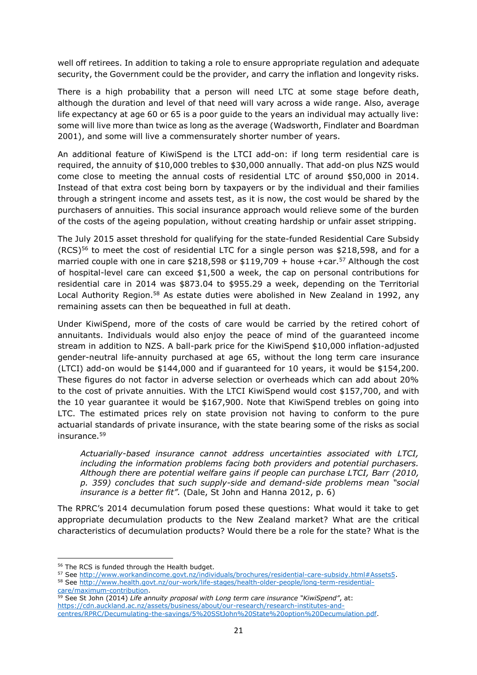well off retirees. In addition to taking a role to ensure appropriate regulation and adequate security, the Government could be the provider, and carry the inflation and longevity risks.

There is a high probability that a person will need LTC at some stage before death, although the duration and level of that need will vary across a wide range. Also, average life expectancy at age 60 or 65 is a poor guide to the years an individual may actually live: some will live more than twice as long as the average [\(Wadsworth, Findlater and Boardman](#page-24-17)  [2001\)](#page-24-17), and some will live a commensurately shorter number of years.

An additional feature of KiwiSpend is the LTCI add-on: if long term residential care is required, the annuity of \$10,000 trebles to \$30,000 annually. That add-on plus NZS would come close to meeting the annual costs of residential LTC of around \$50,000 in 2014. Instead of that extra cost being born by taxpayers or by the individual and their families through a stringent income and assets test, as it is now, the cost would be shared by the purchasers of annuities. This social insurance approach would relieve some of the burden of the costs of the ageing population, without creating hardship or unfair asset stripping.

The July 2015 asset threshold for qualifying for the state-funded Residential Care Subsidy  $(RCS)<sup>56</sup>$  to meet the cost of residential LTC for a single person was \$218,598, and for a married couple with one in care \$218,598 or \$119,709 + house +car.<sup>57</sup> Although the cost of hospital-level care can exceed \$1,500 a week, the cap on personal contributions for residential care in 2014 was \$873.04 to \$955.29 a week, depending on the Territorial Local Authority Region.<sup>58</sup> As estate duties were abolished in New Zealand in 1992, any remaining assets can then be bequeathed in full at death.

Under KiwiSpend, more of the costs of care would be carried by the retired cohort of annuitants. Individuals would also enjoy the peace of mind of the guaranteed income stream in addition to NZS. A ball-park price for the KiwiSpend \$10,000 inflation-adjusted gender-neutral life-annuity purchased at age 65, without the long term care insurance (LTCI) add-on would be \$144,000 and if guaranteed for 10 years, it would be \$154,200. These figures do not factor in adverse selection or overheads which can add about 20% to the cost of private annuities. With the LTCI KiwiSpend would cost \$157,700, and with the 10 year guarantee it would be \$167,900. Note that KiwiSpend trebles on going into LTC. The estimated prices rely on state provision not having to conform to the pure actuarial standards of private insurance, with the state bearing some of the risks as social insurance. 59

*Actuarially-based insurance cannot address uncertainties associated with LTCI, including the information problems facing both providers and potential purchasers. Although there are potential welfare gains if people can purchase LTCI, Barr [\(2010,](#page-23-16)  [p. 359\)](#page-23-16) concludes that such supply-side and demand-side problems mean "social insurance is a better fit".* [\(Dale, St John and Hanna 2012, p. 6\)](#page-23-17)

The RPRC's 2014 decumulation forum posed these questions: What would it take to get appropriate decumulation products to the New Zealand market? What are the critical characteristics of decumulation products? Would there be a role for the state? What is the

<sup>59</sup> See St John (2014) *Life annuity proposal with Long term care insurance "KiwiSpend"*, at: [https://cdn.auckland.ac.nz/assets/business/about/our-research/research-institutes-and](https://cdn.auckland.ac.nz/assets/business/about/our-research/research-institutes-and-centres/RPRC/Decumulating-the-savings/5%20SStJohn%20State%20option%20Decumulation.pdf)[centres/RPRC/Decumulating-the-savings/5%20SStJohn%20State%20option%20Decumulation.pdf.](https://cdn.auckland.ac.nz/assets/business/about/our-research/research-institutes-and-centres/RPRC/Decumulating-the-savings/5%20SStJohn%20State%20option%20Decumulation.pdf)

**<sup>.</sup>** <sup>56</sup> The RCS is funded through the Health budget.

<sup>57</sup> See [http://www.workandincome.govt.nz/individuals/brochures/residential-care-subsidy.html#Assets5.](http://www.workandincome.govt.nz/individuals/brochures/residential-care-subsidy.html#Assets5)

<sup>58</sup> See [http://www.health.govt.nz/our-work/life-stages/health-older-people/long-term-residential](http://www.health.govt.nz/our-work/life-stages/health-older-people/long-term-residential-care/maximum-contribution)[care/maximum-contribution.](http://www.health.govt.nz/our-work/life-stages/health-older-people/long-term-residential-care/maximum-contribution)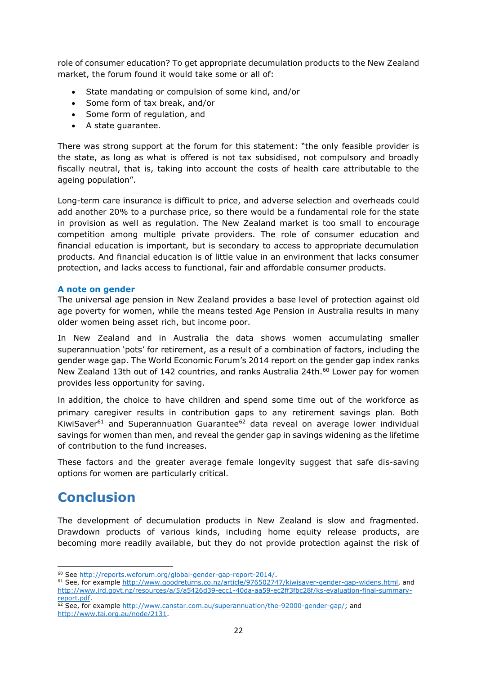role of consumer education? To get appropriate decumulation products to the New Zealand market, the forum found it would take some or all of:

- State mandating or compulsion of some kind, and/or
- Some form of tax break, and/or
- Some form of regulation, and
- A state guarantee.

There was strong support at the forum for this statement: "the only feasible provider is the state, as long as what is offered is not tax subsidised, not compulsory and broadly fiscally neutral, that is, taking into account the costs of health care attributable to the ageing population".

Long-term care insurance is difficult to price, and adverse selection and overheads could add another 20% to a purchase price, so there would be a fundamental role for the state in provision as well as regulation. The New Zealand market is too small to encourage competition among multiple private providers. The role of consumer education and financial education is important, but is secondary to access to appropriate decumulation products. And financial education is of little value in an environment that lacks consumer protection, and lacks access to functional, fair and affordable consumer products.

#### <span id="page-21-0"></span>**A note on gender**

The universal age pension in New Zealand provides a base level of protection against old age poverty for women, while the means tested Age Pension in Australia results in many older women being asset rich, but income poor.

In New Zealand and in Australia the data shows women accumulating smaller superannuation 'pots' for retirement, as a result of a combination of factors, including the gender wage gap. The World Economic Forum's 2014 report on the gender gap index ranks New Zealand 13th out of 142 countries, and ranks Australia 24th.<sup>60</sup> Lower pay for women provides less opportunity for saving.

In addition, the choice to have children and spend some time out of the workforce as primary caregiver results in contribution gaps to any retirement savings plan. Both KiwiSaver $61$  and Superannuation Guarantee $62$  data reveal on average lower individual savings for women than men, and reveal the gender gap in savings widening as the lifetime of contribution to the fund increases.

These factors and the greater average female longevity suggest that safe dis-saving options for women are particularly critical.

### <span id="page-21-1"></span>**Conclusion**

**.** 

The development of decumulation products in New Zealand is slow and fragmented. Drawdown products of various kinds, including home equity release products, are becoming more readily available, but they do not provide protection against the risk of

<sup>61</sup> See, for exampl[e http://www.goodreturns.co.nz/article/976502747/kiwisaver-gender-gap-widens.html,](http://www.goodreturns.co.nz/article/976502747/kiwisaver-gender-gap-widens.html) and [http://www.ird.govt.nz/resources/a/5/a5426d39-ecc1-40da-aa59-ec2ff3fbc28f/ks-evaluation-final-summary](http://www.ird.govt.nz/resources/a/5/a5426d39-ecc1-40da-aa59-ec2ff3fbc28f/ks-evaluation-final-summary-report.pdf)[report.pdf.](http://www.ird.govt.nz/resources/a/5/a5426d39-ecc1-40da-aa59-ec2ff3fbc28f/ks-evaluation-final-summary-report.pdf)

<sup>60</sup> See [http://reports.weforum.org/global-gender-gap-report-2014/.](http://reports.weforum.org/global-gender-gap-report-2014/)

 $62$  See, for exampl[e http://www.canstar.com.au/superannuation/the-92000-gender-gap/;](http://www.canstar.com.au/superannuation/the-92000-gender-gap/) and [http://www.tai.org.au/node/2131.](http://www.tai.org.au/node/2131)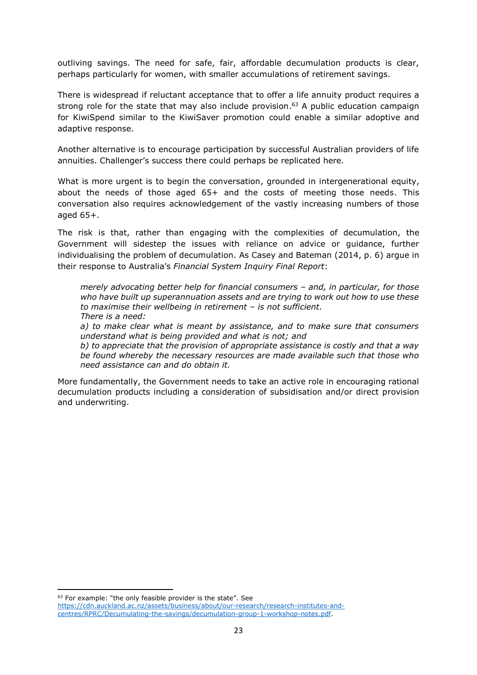outliving savings. The need for safe, fair, affordable decumulation products is clear, perhaps particularly for women, with smaller accumulations of retirement savings.

There is widespread if reluctant acceptance that to offer a life annuity product requires a strong role for the state that may also include provision. <sup>63</sup> A public education campaign for KiwiSpend similar to the KiwiSaver promotion could enable a similar adoptive and adaptive response.

Another alternative is to encourage participation by successful Australian providers of life annuities. Challenger's success there could perhaps be replicated here.

What is more urgent is to begin the conversation, grounded in intergenerational equity, about the needs of those aged 65+ and the costs of meeting those needs. This conversation also requires acknowledgement of the vastly increasing numbers of those aged 65+.

The risk is that, rather than engaging with the complexities of decumulation, the Government will sidestep the issues with reliance on advice or guidance, further individualising the problem of decumulation. As Casey and Bateman [\(2014, p. 6\)](#page-23-18) argue in their response to Australia's *Financial System Inquiry Final Report*:

*merely advocating better help for financial consumers – and, in particular, for those who have built up superannuation assets and are trying to work out how to use these to maximise their wellbeing in retirement – is not sufficient. There is a need:* 

*a) to make clear what is meant by assistance, and to make sure that consumers understand what is being provided and what is not; and* 

*b) to appreciate that the provision of appropriate assistance is costly and that a way be found whereby the necessary resources are made available such that those who need assistance can and do obtain it.*

More fundamentally, the Government needs to take an active role in encouraging rational decumulation products including a consideration of subsidisation and/or direct provision and underwriting.

<sup>63</sup> For example: "the only feasible provider is the state". See

[https://cdn.auckland.ac.nz/assets/business/about/our-research/research-institutes-and](https://cdn.auckland.ac.nz/assets/business/about/our-research/research-institutes-and-centres/RPRC/Decumulating-the-savings/decumulation-group-1-workshop-notes.pdf)[centres/RPRC/Decumulating-the-savings/decumulation-group-1-workshop-notes.pdf.](https://cdn.auckland.ac.nz/assets/business/about/our-research/research-institutes-and-centres/RPRC/Decumulating-the-savings/decumulation-group-1-workshop-notes.pdf)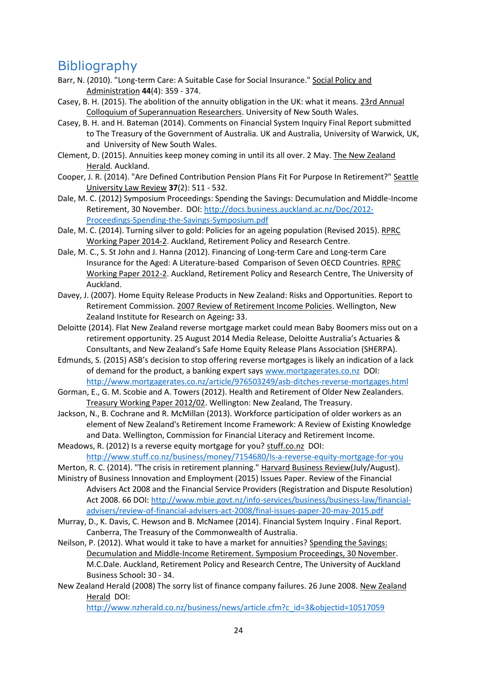## <span id="page-23-0"></span>**Bibliography**

- <span id="page-23-16"></span>Barr, N. (2010). "Long-term Care: A Suitable Case for Social Insurance." Social Policy and Administration **44**(4): 359 - 374.
- <span id="page-23-7"></span>Casey, B. H. (2015). The abolition of the annuity obligation in the UK: what it means. 23rd Annual Colloquium of Superannuation Researchers. University of New South Wales.
- <span id="page-23-18"></span>Casey, B. H. and H. Bateman (2014). Comments on Financial System Inquiry Final Report submitted to The Treasury of the Government of Australia. UK and Australia, University of Warwick, UK, and University of New South Wales.
- Clement, D. (2015). Annuities keep money coming in until its all over. 2 May. The New Zealand Herald. Auckland.
- <span id="page-23-1"></span>Cooper, J. R. (2014). "Are Defined Contribution Pension Plans Fit For Purpose In Retirement?" Seattle University Law Review **37**(2): 511 - 532.
- <span id="page-23-2"></span>Dale, M. C. (2012) Symposium Proceedings: Spending the Savings: Decumulation and Middle-Income Retirement, 30 November. DOI: [http://docs.business.auckland.ac.nz/Doc/2012-](http://docs.business.auckland.ac.nz/Doc/2012-Proceedings-Spending-the-Savings-Symposium.pdf) [Proceedings-Spending-the-Savings-Symposium.pdf](http://docs.business.auckland.ac.nz/Doc/2012-Proceedings-Spending-the-Savings-Symposium.pdf)
- <span id="page-23-3"></span>Dale, M. C. (2014). Turning silver to gold: Policies for an ageing population (Revised 2015). RPRC Working Paper 2014-2. Auckland, Retirement Policy and Research Centre.
- <span id="page-23-17"></span>Dale, M. C., S. St John and J. Hanna (2012). Financing of Long-term Care and Long-term Care Insurance for the Aged: A Literature-based Comparison of Seven OECD Countries. RPRC Working Paper 2012-2. Auckland, Retirement Policy and Research Centre, The University of Auckland.
- <span id="page-23-9"></span>Davey, J. (2007). Home Equity Release Products in New Zealand: Risks and Opportunities. Report to Retirement Commission. 2007 Review of Retirement Income Policies. Wellington, New Zealand Institute for Research on Ageing**:** 33.
- <span id="page-23-11"></span>Deloitte (2014). Flat New Zealand reverse mortgage market could mean Baby Boomers miss out on a retirement opportunity. 25 August 2014 Media Release, Deloitte Australia's Actuaries & Consultants, and New Zealand's Safe Home Equity Release Plans Association (SHERPA).
- <span id="page-23-12"></span>Edmunds, S. (2015) ASB's decision to stop offering reverse mortgages is likely an indication of a lack of demand for the product, a banking expert says [www.mortgagerates.co.nz](http://www.mortgagerates.co.nz/) DOI: <http://www.mortgagerates.co.nz/article/976503249/asb-ditches-reverse-mortgages.html>
- <span id="page-23-5"></span>Gorman, E., G. M. Scobie and A. Towers (2012). Health and Retirement of Older New Zealanders. Treasury Working Paper 2012/02. Wellington: New Zealand, The Treasury.
- <span id="page-23-4"></span>Jackson, N., B. Cochrane and R. McMillan (2013). Workforce participation of older workers as an element of New Zealand's Retirement Income Framework: A Review of Existing Knowledge and Data. Wellington, Commission for Financial Literacy and Retirement Income.
- <span id="page-23-13"></span>Meadows, R. (2012) Is a reverse equity mortgage for you? stuff.co.nz DOI: <http://www.stuff.co.nz/business/money/7154680/Is-a-reverse-equity-mortgage-for-you>
- <span id="page-23-6"></span>Merton, R. C. (2014). "The crisis in retirement planning." Harvard Business Review(July/August).
- <span id="page-23-8"></span>Ministry of Business Innovation and Employment (2015) Issues Paper. Review of the Financial Advisers Act 2008 and the Financial Service Providers (Registration and Dispute Resolution) Act 2008. 66 DOI[: http://www.mbie.govt.nz/info-services/business/business-law/financial](http://www.mbie.govt.nz/info-services/business/business-law/financial-advisers/review-of-financial-advisers-act-2008/final-issues-paper-20-may-2015.pdf)[advisers/review-of-financial-advisers-act-2008/final-issues-paper-20-may-2015.pdf](http://www.mbie.govt.nz/info-services/business/business-law/financial-advisers/review-of-financial-advisers-act-2008/final-issues-paper-20-may-2015.pdf)
- <span id="page-23-14"></span>Murray, D., K. Davis, C. Hewson and B. McNamee (2014). Financial System Inquiry . Final Report. Canberra, The Treasury of the Commonwealth of Australia.
- <span id="page-23-15"></span>Neilson, P. (2012). What would it take to have a market for annuities? Spending the Savings: Decumulation and Middle-Income Retirement. Symposium Proceedings, 30 November. M.C.Dale. Auckland, Retirement Policy and Research Centre, The University of Auckland Business School**:** 30 - 34.
- <span id="page-23-10"></span>New Zealand Herald (2008) The sorry list of finance company failures. 26 June 2008. New Zealand Herald DOI:

[http://www.nzherald.co.nz/business/news/article.cfm?c\\_id=3&objectid=10517059](http://www.nzherald.co.nz/business/news/article.cfm?c_id=3&objectid=10517059)